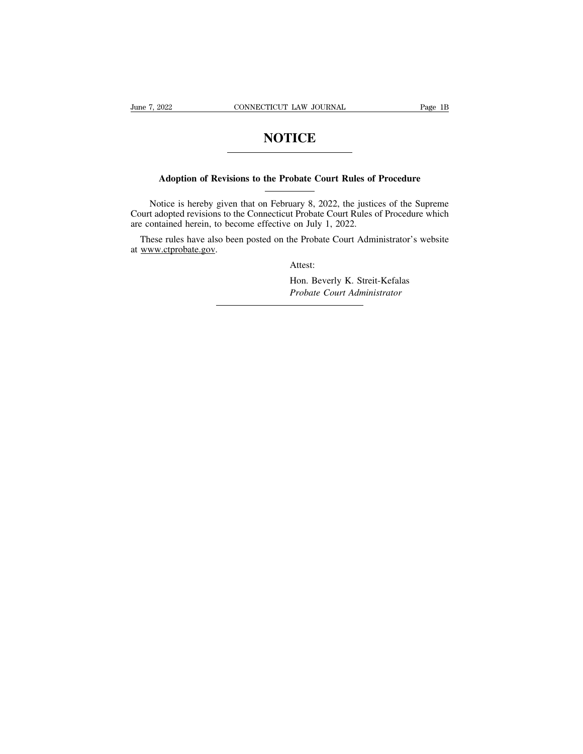# **NOTICE**

# **Adoption of Revisions to the Probate Court Rules of Procedure**<br>
Adoption of Revisions to the Probate Court Rules of Procedure

NOTICE<br>
Morrisons to the Probate Court Rules of Procedure<br>
Notice is hereby given that on February 8, 2022, the justices of the Supreme<br>
t adopted revisions to the Connecticut Probate Court Rules of Procedure which<br>
ontain Adoption of Revisions to the Probate Court Rules of Procedure<br>
Notice is hereby given that on February 8, 2022, the justices of the Supreme<br>
Court adopted revisions to the Connecticut Probate Court Rules of Procedure which Adoption of Revisions to the Probate Court Rules of<br>Notice is hereby given that on February 8, 2022, the justic<br>Court adopted revisions to the Connecticut Probate Court Rules c<br>are contained herein, to become effective on Adoption of Revisions to the Probate Court Rules of Procedure<br>
Notice is hereby given that on February 8, 2022, the justices of the Supreme<br>
wurt adopted revisions to the Connecticut Probate Court Rules of Procedure which Notice is hereby given<br>Court adopted revisions to the<br>are contained herein, to become These rules have also bee<br>at www.ctprobate.gov.

are contained herein, to become effective on July 1, 2022.<br>These rules have also been posted on the Probate Court Administrator's website<br>at www.ctprobate.gov.<br>Attest:<br>Hon. Beverly K. Streit-Kefalas

Attest:

*Probate Court Administrator*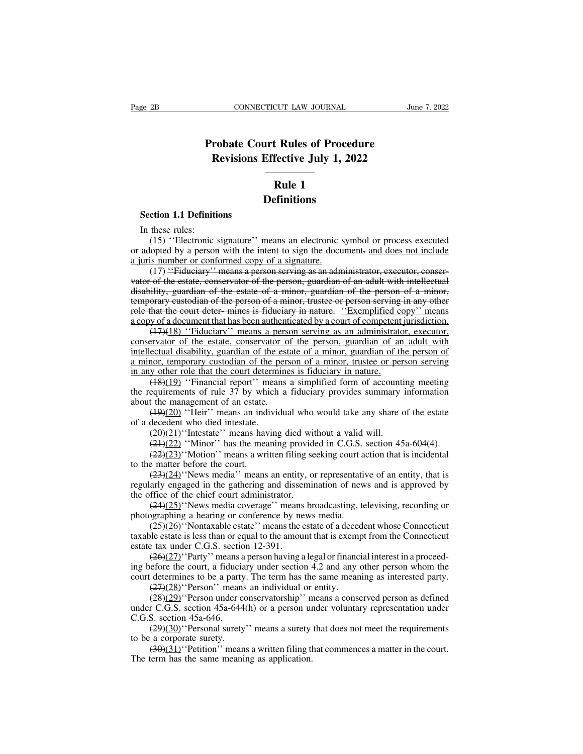# **CONNECTICUT LAW JOURNAL**<br> **Probate Court Rules of Procedure**<br> **Revisions Effective July 1, 2022 CONNECTICUT LAW JOURNAL**<br> **Revisions Effective July 1, 2022**<br> **Rule 1 EXAMER 19 THE 19 YOURNAL**<br> **Rules of Proced<br>
Fective July 1, 20<br>
Rule 1<br>
Finitions Section 1.1 Definitions**<br> **Section 1.1 Definitions**<br>
In these rules:<br>
(15) "Electronic signature", a

# **Definitions**

Section 1.1 Definiti<br>In these rules:<br>(15) "Electronic s<br>adopted by a person (15) ''Electronic signature'' means an electronic symbol or process executed<br>(15) ''Electronic signature'' means an electronic symbol or process executed<br>lopted by a person with the intent to sign the document- and does no **Solution:**<br>**Definitions**<br>In these rules:<br>(15) "Electronic signature" means an electronic symbol or process executed<br>or adopted by a person with the intent to sign the document. <u>and does not include</u><br>a juris number or con **Definitions**<br> **Definitions**<br>
In these rules:<br>
(15) "Electronic signature" means an electronic s<br>
or adopted by a person with the intent to sign the docu<br>
a juris number or conformed copy of a signature.<br>
(17) "Fiduciary"

(15) "Electronic signature" means an electronic symbol or process executed<br>(15) "Electronic signature" means an electronic symbol or process executed<br>opted by a person with the intent to sign the document- <u>and does not in</u> Section 1.1 Definitions<br>
In these rules:<br>
(15) "Electronic signature" means an electronic symbol or process executed<br>
or adopted by a person with the intent to sign the document- and does not include<br>
a juris number or co In these rules:<br>
(15) "Electronic signature" means an electronic symbol or process executed<br>
or adopted by a person with the intent to sign the document- and does not include<br>
a juris number or conformed copy of a signatu (15) "Electronic signature" means an electronic symbol or process executed<br>or adopted by a person with the intent to sign the document- and does not include<br>a juris number or conformed copy of a signature.<br>(17) "Fiduciary or adopted by a person with the intent to sign the document- and does not include<br>a juris number or conformed copy of a signature.<br>(17) "Fiduciary" means a person serving as an administrator, executor, conservator of the a juris number or conformed copy of a signature.<br>
a juris number or conformed copy of a signature.<br>
(17) "Fiduciary" means a person serving as an administrator, executor, conservator of the estate, conservator of the pers (17) "Fiduciary" means a person serving as an administrator, executor, conser-<br>of the estate, conservator of the person, guardian of an adult with intellectual<br>ility, guardian of the estate of a minor, guardian of the per vator of the estate, conservator of the person serving as an administrator, excetior, conservator of the estate, conservator of the person, guardian of an adult with intellectual disability, guardian of the person of a mi

valor of the estate, conservator of the person, guardian of an addit with intellectual disability, guardian of the estate of a minor, guardian of the person serving in any other role that the court deter-mines is fiduciary a minor, guardian of the estate of a minor, guardian of the person of a minor,<br>temporary custodian of the person of a minor, trustee or person serving in any other<br>role that the court deter-mines is fiduciary in nature. "E in any customal of the person of a minor, trastee of person serving<br>role that the court deter-mines is fiduciary in nature. "Exemplified cor<br>a copy of a document that has been authenticated by a court of competent<br>(47)(18) (18)(19) ''Financial report'' means a simplified form of competent jurisdiction.<br>
(17)(18) ''Fiduciary'' means a person serving as an administrator, executor,<br>
ervator of the estate, conservator of the person, guardian of (17)(18) "Fiduciary" means a person serving as an administrator, executor,<br>conservator of the estate, conservator of the person, guardian of an adult with<br>intellectual disability, guardian of the estate of a minor, guardi conservator of the estate, conservator of<br>intellectual disability, guardian of the estate animor, temporary custodian of the pers<br>a minor, temporary custodian of the pers<br>in any other role that the court determine<br> $(18)(19$ ectual disability, guardian of the estate of a minor, guardian of the person of<br>ectual disability, guardian of the estate of a minor, guardian of the person of<br>nor, temporary custodian of the person of a minor, trustee or

a minor, temporary custodian of the p<br>a minor, temporary custodian of the p<br>in any other role that the court determ<br> $(18)(19)$  "Financial report" mean<br>the requirements of rule 37 by which<br>about the management of an estate. y other role that the court determines is fiduciary in nature.<br>
(48)(19) "Financial report" means a simplified form of accounting equirements of rule 37 by which a fiduciary provides summary<br>
the management of an estate.<br> (48)(19) "Financial report" means a simplified form of accounting meeting<br>equirements of rule 37 by which a fiduciary provides summary information<br>t the management of an estate.<br>(49)(20) "Heir" means an individual who wou equirements of rule 37 by which a fiduciary provides summary information<br>t the management of an estate.<br>( $\frac{19)(20)}{1}$  "Heir" means an individual who would take any share of the estate<br>decedent who died intestate.<br> $\frac{29$ 

about the management of an estate.<br>  $(49)(20)$  "Heir" means an ind<br>
of a decedent who died intestate.<br>  $(29)(21)$  "Intestate" means hav<br>  $(21)(22)$  "Minor" has the mea<br>  $(22)(23)$  "Motion" means a writo the matter before the (19)(20) "Heir" means an individual who would take any share of the estate<br>decedent who died intestate.<br>(20)(21) "Intestate" means having died without a valid will.<br>(21)(22) "Minor" has the meaning provided in C.G.S. sect of a decedent who died intestate.<br>  $(20)(21)$  'Thtestate'' means having died without a valid will.<br>  $(21)(22)$  'Minor'' has the meaning provided in C.G.S. section 45a-604(4).<br>  $(22)(23)$  'Motion'' means a written filing seek  $(2\theta)(21)$ "Intestate" means having died wit<br>  $(2\theta)(22)$  "Minor" has the meaning provid<br>  $(229)(23)$ "Motion" means a written filing se<br>
to the matter before the court.<br>  $(23)(24)$ "News media" means an entity, or<br>
regularly e (24)(22) "Minor" has the meaning provided in C.G.S. section 45a-604(4).<br>
(22)(23) "Motion" means a written filing seeking court action that is incidental<br>
e matter before the court.<br>
(23)(24) "News media" means an entity,  $(22)(23)$ "Motion" means a written filing seeking court a<br>to the matter before the court.<br>to the matter before the court.<br> $(23)(24)$ "News media" means an entity, or representati-<br>regularly engaged in the gathering and disse

e matter before the court.<br>
(23)(24)''News media'' means an entity, or representative of an entity, that is<br>
arly engaged in the gathering and dissemination of news and is approved by<br>
ffice of the chief court administrat (23)(24)"News media" means an entity, or representative of an entity, that is<br>regularly engaged in the gathering and dissemination of news and is approved by<br>the office of the chief court administrator.<br>(24)(25)"News medi regularly engaged in the gathering and disse<br>the office of the chief court administrator.<br> $(24)(25)$ . News media coverage'' means<br>photographing a hearing or conference by ne<br> $(25)(26)$ . Nontaxable estate'' means the taxable

Frice of the chief court administrator.<br>  $(24)(25)'$ 'News media coverage'' means broadcasting, televising, recording or<br>
graphing a hearing or conference by news media.<br>  $(25)(26)'$ 'Nontaxable estate'' means the estate of a d  $(24)(25)$ "News media coverage" means broadcasting, televising, recording or<br>photographing a hearing or conference by news media.<br> $(25)(26)$ "Nontaxable estate" means the estate of a decedent whose Connecticut<br>taxable estate photographing a hearing or conference by news media.<br>
(25)(26) 'Nontaxable estate' means the estate of a decedent whose Connecticut taxable estate is less than or equal to the amount that is exempt from the Connecticut es  $(25)(26)'$ ''Montaxable estate'' means the estate of a decemble estate is less than or equal to the amount that is exempt tax under C.G.S. section 12-391.<br>  $(26)(27)'$  Party'' means a person having a legal or finance fore the (28)(22)''Person under view and interest in a proceed-<br>
(26)(27)''Party'' means a person having a legal or financial interest in a proceed-<br>
(26)(27)''Party'' means a person having a legal or financial interest in a proce estate tax under C.G.S. section 12-391.<br>
(26)(27) "Party" means a person having a legal or financial interest in a proceed-<br>
ing before the court, a fiduciary under section 4.2 and any other person whom the<br>
court determi  $(26)(27)'$  Party'' means a<br>ing before the court, a fiducia<br>court determines to be a party<br> $(27)(28)'$  Person'' means<br> $(28)(29)'$  Person under c<br>under C.G.S. section 45a-644<br>C.G.S. section 45a-646.<br> $(29)(30)'$  Personal surety<br>to

(29)(29)'' Personal surety'' means a surety that does not meet the requirements a conserved person whom the determines to be a party. The term has the same meaning as interested party. (27)(28)''Person'' means an individu the court determines to be a party<br>
court determines to be a party<br>  $(27)(28)'$  Person'' means<br>  $(28)(29)'$  Person under counder C.G.S. section 45a-644<br>
C.G.S. section 45a-646.<br>  $(29)(30)'$  Personal surety<br>
to be a corporate su  $(27)(28)'$  Person" means an individual or entity.<br>  $(28)(29)'$  Person under conservatorship" means a conserved person as defined<br>
r C.G.S. section 45a-644(h) or a person under voluntary representation under<br>
S. section 45a-6 (28)(29)<br>
"Person under conservatorship" in under C.G.S. section 45a-644(h) or a person under C.G.S. section 45a-644(h) or a person under C.G.S. section 45a-646.<br>
(29)(30)<br>
"Personal surety" means a surety to be a corpora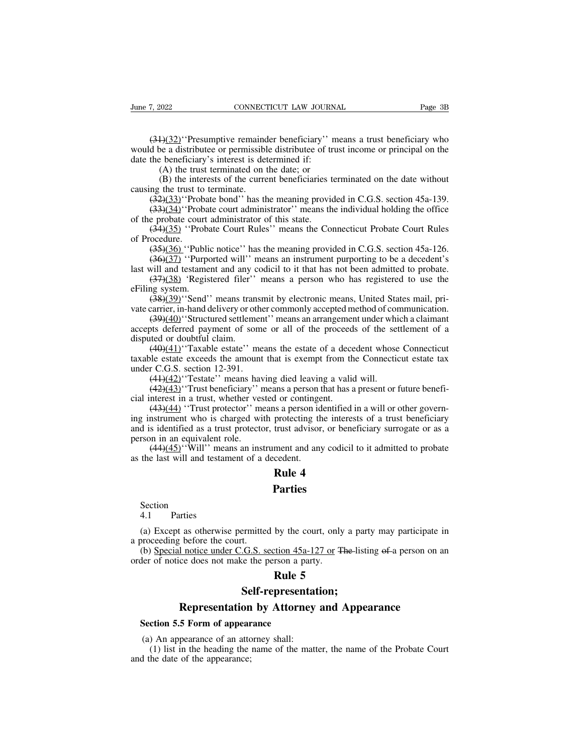(31)(32)<sup>\*</sup>Presumptive remainder beneficiary'' means a trust beneficiary who d be a distributee or permissible distributee of trust income or principal on the the beneficiary's interest is determined if: June 7, 2022 CONNECTICUT LAW JOURNAL Page 3B<br>  $(31)(32)$  Presumptive remainder beneficiary'' means a trust beneficiary who<br>
would be a distributee or permissible distributee of trust income or principal on the<br>
date the be June 7, 2022 CONNECTICUT LAW JOURN<br>  $\frac{(34)(32)^{6}}{2}$  (Presumptive remainder beneficiary'' n<br>
would be a distributee or permissible distributee of tradetermined if:<br>
(A) the trust terminated on the date; or<br>
(B) the inter (2022)<br>
CONNECTICUT LAW JOURNA<br>  $\frac{1}{2}$  (32) "Presumptive remainder beneficiary" m<br>
be a distribute or permissible distribute of trust<br>
beneficiary's interest is determined if:<br>
(A) the trust terminated on the date; or<br> (B)  $\frac{H(32)}{H(32)}$  'Presumptive remainder beneficiary'' means a trust beneficiary who be a distributee or permissible distributee of trust income or principal on the beneficiary's interest is determined if:<br>(A) the trus  $\frac{(31)(32)}{(21)(32)}$  (Presumptive remaind<br>would be a distributee or permissible<br>date the beneficiary's interest is det<br>(A) the trust terminated on 1<br>(B) the interests of the curre<br>causing the trust to terminate.<br> $\frac{(32)(33)}{($  $(31)(32)'$  'Presumptive remainder beneficiary'' means a trust beneficiary who<br>d be a distributee or permissible distributee of trust income or principal on the<br>the beneficiary's interest is determined if:<br>(A) the trust ter (34)(32) Tresumpluve remainder ocherriciary means a dust ocherriciary who d be a distributee or permissible distributee of trust income or principal on the the beneficiary's interest is determined if:<br>
(A) the trust termi

date the beneficiary's interest is determined if:<br>
(A) the trust terminated on the date; or<br>
(B) the interests of the current beneficiaries t<br>
causing the trust to terminate.<br>  $(\frac{32)(33)^{6}}{23!(34)^{6}}$ Probate bond'' has th (A) the trust terminated on the date; or<br>
(B) the interests of the current beneficiaries terminated on the date without<br>
ng the trust to terminate.<br>  $(32)(33)^{1}$ Probate bond" has the meaning provided in C.G.S. section 45a (A) the trus<br>
(B) the inte<br>
causing the trust to<br>  $(32)(33)^{18}$ Prob<br>  $(33)(34)^{18}$ Probate cour<br>  $(34)(35)^{18}$ Procedure.<br>  $(35)(36)^{18}$ Pub<br>  $(36)(37)^{18}$ Pur (35)(36) ''Probate bond'' has the meaning provided in C.G.S. section 45a-139.<br>
(32)(33)''Probate bond'' has the meaning provided in C.G.S. section 45a-139.<br>
(33)(34)''Probate court administrator'' means the individual hol ( $32$ )( $33$ )''Probate bond'' has the meaning provided in C.G.S. section 45a-139.<br>  $(33)$ ( $34$ )''Probate court administrator'' means the individual holding the office<br>
e probate court administrator of this state.<br>  $(34)$ ((33)(34) Trobate bond Thas the meaning provided in C.O.S. section 45a-159.<br>
(33)(34) Trobate court administrator" means the individual holding the office<br>
of the probate court administrator of this state.<br>
(34)(35) "Proba

(33)(38) 'Probate court administrator means the mutvidual holding the office e probate court administrator of this state.<br>
(34)(35) 'Probate Court Rules'' means the Connecticut Probate Court Rules ocedure.<br>
(35)(36) 'Publ

of the probate court<br>  $\frac{(34)(35)}{(36)(36)}$  "Probate"<br>  $\frac{(35)(36)}{(36)(37)}$  "Purpo<br>
last will and testame<br>  $\frac{(37)(38)}{(38)(39)}$  "Regis<br>
eFiling system.<br>
vate carrier, in-hand d (38)(36) "Public notice" has the meaning provided in C.G.S. section 45a-126.<br>(36)(37) "Public notice" has the meaning provided in C.G.S. section 45a-126.<br>(36)(37) "Purported will" means an instrument purporting to be a de

(35)(36) "Public notice" has the meaning provided in C.G.S. section 45a-126.<br>
(36)(37) "Purported will" means an instrument purporting to be a decedent's last will and testament and any codicil to it that has not been adm (39)(37) "Tubic flotce" has the meaning provided in C.O.S. section 45a-120.<br>
(36)(37) "Purported will" means an instrument purporting to be a decedent's<br>
will and testament and any codicil to it that has not been admitted accepts deferred payment of some or all of the proceeds of the settlement of a disputed or doubtful claim.<br>
(49)(41) "Taxable estate" means a person who has registered to use the eFiling system.<br>
(49)(40) "Send" means tra disk will and testanich and any<br>  $(37)(38)$  'Registered filer''<br>
eFiling system.<br>  $(38)(39)$ ''Send'' means tran<br>
vate carrier, in-hand delivery or ot<br>  $(39)(40)$ ''Structured settlem<br>
accepts deferred payment of sol<br>
disputed

(34)(39) "Registered Ther" inclusion and person who has registered to disc the discontries.<br>
(48)(39) "Send" means transmit by electronic means, United States mail, pri-<br>
(39)(40) "Structured settlement" means an arrangem (38)(39)"Send" means transmit by electronic means, United States mail, pri-<br>vate carrier, in-hand delivery or other commonly accepted method of communication.<br>(39)(40)"Structured settlement" means an arrangement under whi vate carrier, in-hand delivery or othe<br>  $(39)(40)$  "Structured settlemen<br>
accepts deferred payment of some<br>
disputed or doubtful claim.<br>  $(40)(41)$  "Taxable estate" me<br>
taxable estate exceeds the amount<br>
under C.G.S. sectio (49)(40)''Structured settlement'' means an arrangement under whist<br>  $(39)(40)$ ''Structured settlement'' means an arrangement under whists deferred payment of some or all of the proceeds of the setted or doubtful claim.<br>  $($ (43)(44) Substituted settlement Theats an analysine of which a claimant<br>to deferred payment of some or all of the proceeds of the settlement of a<br>ted or doubtful claim.<br>(40)(41)''Taxable estate'' means the estate of a dec disputed or doubtful claim.<br>
(40)(41)'Taxable estate'' means the estate of a dece<br>
taxable estate exceeds the amount that is exempt from the<br>
under C.G.S. section 12-391.<br>
(41)(42)'Testate'' means having died leaving a va

(49)(41) "Taxable estate" means the estate of a decedent whose Connecticut<br>le estate exceeds the amount that is exempt from the Connecticut estate tax<br>r C.G.S. section 12-391.<br>(44)(42) "Testate" means having died leaving trophetic exceeds the amount that is exempt from the Connecticut estate tax under C.G.S. section 12-391.<br>
(41)(42) "Testate" means having died leaving a valid will.<br>
(42)(43) "Trust beneficiary" means a person that has a and is identified as a trust protector, trust advisor, or beneficiary surrogate or as a person that has a present or future beneficial interest in a trust, whether vested or contingent.<br>  $(43)(44)$  "Trust protector" means  $(44)(42)$  "Testate" means have  $(42)(43)$  "Trust beneficiary" is<br> $(42)(43)$  "Trust beneficiary" is<br>cial interest in a trust, whether vee<br> $(43)(44)$  "Trust protector" m<br>ing instrument who is charged wi<br>and is identified as a (42)(43)''Trust beneficiary'' means a person that has a present or future benefi-<br>
(42)(43)''Trust beneficiary'' means a person that has a present or future benefi-<br>
(43)(44) ''Trust protector'' means a person identified ( $\frac{(43)(44)}{7}$  Thust behieve the last will almost a person ideal interest in a trust, whether vested or continge ( $\frac{(43)(44)}{7}$  "Trust protector" means a person ideal is identified as a trust protector, trust advisor pe ans a person that has a<br>d or contingent.<br>as a person identified i<br>protecting the interes<br>trust advisor, or bene<br>ment and any codicil<br>cedent.<br>**Rule 4**<br>**Parties** 

 $(44)(45)$ <sup>6</sup> Will<sup>6</sup> measure the last will and testam<br>the last will and testam<br>4.1 Parties<br>(a) Except as otherwise

## **Parties**

Section

**Parties<br>
Section**<br>
4.1 Parties<br>
(a) Except as otherwise permitted by the court, only a party may participate in<br>
proceeding before the court.<br>
(b) Special notice under C.G.S. section 45a-127 or The-listing of a person on Section<br>4.1 Parties<br>(a) Except as otherwise permitted<br>a proceeding before the court.<br>(b) Special notice under C.G.S. so<br>order of notice does not make the p Section<br>
4.1 Parties<br>
(a) Except as otherwise permitted by the court, only<br>
a proceeding before the court.<br>
(b) Special notice under C.G.S. section 45a-127 or T-<br>
order of notice does not make the person a party.<br> **Rule 5** by the court, only a j<br>
tion 45a-127 or The-1<br>
rson a party.<br> **Rule 5**<br> **Presentation;** External text as otherwise permitted by the court, only a party may participate in the section of the court.<br> **Representation and Appearance**<br> **Representation by Attorney and Appearance**<br> **Representation by Attorney and Ap** 

**Parties**<br>
4.1 Parties<br>
(a) Except as otherwise permitted by the court, only a party may participate in<br>
proceeding before the court.<br>
(b) Special notice under C.G.S. section 45a-127 or The-listing of a person on an<br>
der o **Self-represent<br>
Rule 5<br>
Self-represent<br>
Representation by Attorne<br>
Section 5.5 Form of appearance**<br>
(a) An appearance of an attorney shall:<br>
(b) list in the bording the name of the m

## **Self-representation;**

**Self-representation by Attorney**<br>**Representation by Attorney**<br>**Section 5.5 Form of appearance**<br>(a) An appearance of an attorney shall:<br>(1) list in the heading the name of the matt<br>d the date of the appearance; (1) Self-representation;<br>
Self-representation;<br>
Component and Appearance<br>
(1) list in the heading the name of the matter, the name of the Probate Court<br>
the date of the appearance; See Representation<br>Section 5.5 Form of appear<br>(a) An appearance of an attornant<br>(1) list in the heading the<br>and the date of the appearance;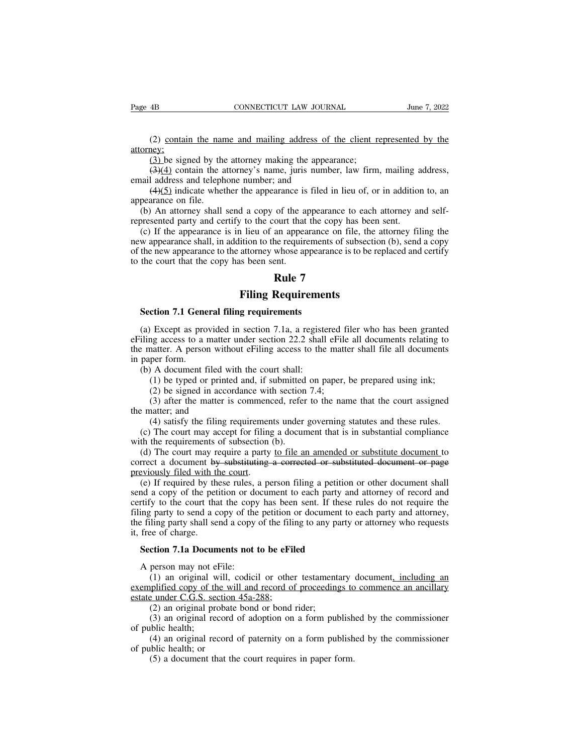(2) contain the name and mailing address of the client represented by the (3) be signed by the attorney making the appearance; attorney; (2) contain the name and mailing address of the client resp.<br>(3) be signed by the attorney making the appearance;<br> $\left(\frac{3}{4}\right)\left(4\right)$  contain the attorney's name, juris number, law firm.<br>I address and telephone number; an

(2) contain the name and mailing address of the client represented by the ney:<br>
(3) be signed by the attorney making the appearance;<br>
(3)(4) contain the attorney's name, juris number, law firm, mailing address,<br>
(4)(5) in (2) contain the name and mailing address of<br>attorney;<br>(3) be signed by the attorney making the appear<br>(3)(4) contain the attorney's name, juris number<br>email address and telephone number; and<br>(4)(5) indicate whether the ap (2) contain the name and mailing address of the client represented by the negy:<br>
(3) be signed by the attorney making the appearance;<br>  $\left(\frac{3}{4}\right)\left(\frac{4}{1}\right)$  contain the attorney's name, juris number, law firm, mailing a (2) contain the nareatorney:<br>
(3) be signed by the<br>
(3)(4) contain the a<br>
email address and teleph<br>
(4)(5) indicate whet<br>
appearance on file.<br>
(b) An attorney shall<br>
represented party and ce (3) be signed by the attorney making the appearance;<br>  $(3)(4)$  contain the attorney's name, juris number, law firm, mailing address,<br>
aail address and telephone number; and<br>  $(4)(5)$  indicate whether the appearance is filed

(3) be signed by the attorney making the appearance;<br>  $(3)(4)$  contain the attorney's name, juris number, law firm, mailing a<br>
email address and telephone number; and<br>  $(4)(5)$  indicate whether the appearance is filed in li (3)(4) contain the attorney's name, juris number, law firm, mailing address, aail address and telephone number; and (4)(5) indicate whether the appearance is filed in lieu of, or in addition to, an pearance on file. (b) A next detection in the university of the requirements, the first hind, maning distances,<br>email address and telephone number; and<br> $(4)(5)$  indicate whether the appearance is filed in lieu of, or in addition to, an<br>appearance (4)(5) indicate whether the appearance is filed in lieu of, or in addition to, an appearance on file.<br>
(b) An attorney shall send a copy of the appearance to each attorney and self-<br>
represented party and certify to the c represented party and certify to the court that<br>the court of the appearance on file.<br>(b) An attorney shall send a copy of the appearance party and certify to the court that<br>(c) If the appearance is in lieu of an appear<br>ne of the appearance to<br>ourt that the copy has<br>an appearance on file<br>he requirements of sul<br>whose appearance is to<br>ent.<br>**Rule 7**<br>**Requirements Filing Requirements**<br>**Filing Requirements**<br>**Filing Requirements**<br>**Filing Requirements**<br>**Filing Requirements**<br>**Filing Requirements**<br>**Filing Requirements** w appearance shari, in addition to the requirements<br>the new appearance to the attorney whose appearance<br>the court that the copy has been sent.<br>**Rule 7**<br>**Section 7.1 General filing requirements**<br>(a) Except as provided in se

(a) Except as provided in section 7.1<sub>a</sub>, a registered filer who has been granted<br>(a) Except as provided in section 7.1a, a registered filer who has been granted<br>iling access to a matter under section 22.2 shall effile all **EXECUTE:**<br> **EXECUTE:**<br> **EXECUTE:**<br> **EXECUTE:**<br> **EXECUTE:**<br> **EXECUTE:**<br> **EXECUTE:**<br> **EXECUTE:**<br> **EXECUTE:**<br> **EXECUTE:**<br> **EXECUTE:**<br> **EXECUTE:**<br> **EXECUTE:**<br> **EXECUTE:**<br> **EXECUTE:**<br> **EXECUTE:**<br> **EXECUTE:**<br> **EXECUTE:**<br> **EXECU Example 19 Filing Requirements**<br>Section 7.1 General filing requirements<br>(a) Except as provided in section 7.1a, a registered filer who has been granted<br>eFiling access to a matter under section 22.2 shall eFile all documen Section 7.1 Gene<br>
(a) Except as pro<br>
eFiling access to a 1<br>
the matter. A person<br>
in paper form.<br>
(b) A document f<br>
(1) be typed or Section 7.1 General filing requirements<br>
(a) Except as provided in section 7.1a, a registe<br>
iling access to a matter under section 22.2 shall<br>
e matter. A person without eFiling access to the<br>
paper form.<br>
(b) A document (1) except as provided in section 7.1a, a registered filer who has been granted and access to a matter under section 22.2 shall effile all documents relating to anatter. A person without effiling access to the matter shal Except as provided in section 7.1a, a registered fing access to a matter under section 22.2 shall eFile natter. A person without eFiling access to the matter form.<br>A document filed with the court shall:<br>(1) be typed or pri Figure 2012 and the matter under section 22.2 shall effile all documents relating to anatter. A person without effiling access to the matter shall file all documents relating to part form.<br>
A document filed with the court the matter. A person with<br>in paper form.<br>(b) A document filed w<br>(1) be typed or printe<br>(2) be signed in acco<br>(3) after the matter is<br>the matter; and<br>(4) satisfy the filing 1<br>(c) The court may accep

per form.<br>
A document filed with the court shall:<br>
(1) be typed or printed and, if submitted on paper, be prepared using ink;<br>
(2) be signed in accordance with section 7.4;<br>
(3) after the matter is commenced, refer to the (b) A document filed with the court shall:<br>
(1) be typed or printed and, if submitted on paper, be prepared using ink;<br>
(2) be signed in accordance with section 7.4;<br>
(3) after the matter is commenced, refer to the name t

(1) be typed or printed and, if submitted<br>(2) be signed in accordance with section<br>(3) after the matter is commenced, refer<br>the matter; and<br>(4) satisfy the filing requirements under<br>(c) The court may accept for filing a d (2) be signed in accordance with section 7.4;<br>
(3) after the matter is commenced, refer to the name that the court assigned<br>  $e$  matter; and<br>
(4) satisfy the filing requirements under governing statutes and these rules.<br> (3) after the matter is commenced, refer to the name that the court assigned<br>the matter; and<br>(4) satisfy the filing requirements under governing statutes and these rules.<br>(c) The court may accept for filing a document tha the matter; and<br>
(4) satisfy the filing requiremen<br>
(c) The court may accept for filing<br>
with the requirements of subsection<br>
(d) The court may require a party<br>
correct a document by substituting<br>
previously filed with the

(4) satisfy the filing requirements under governing statutes and these rules.<br>
(c) The court may accept for filing a document that is in substantial compliance<br>
th the requirements of subsection (b).<br>
(d) The court may re (c) statisty are ring requirements andce governing statistics and arese rates.<br>
(c) The court may accept for filing a document that is in substantial compliance<br>
with the requirements of subsection (b).<br>
(d) The court may (c) The coalt may accept for fining a document that is in sabsulantal compilance<br>with the requirements of subsection (b).<br>(d) The court may require a party <u>to file an amended or substituted document</u> to<br>correct a document (d) The court may require a party <u>to file an amended or substitute document</u> to correct a document by substituting a corrected or substituted document or page previously filed with the court.<br>
(e) If required by these ru The filing party shall send a copy of the filing to any party or attorney who requests the filing party to shall send a copy of the petition or document to each party and attorney of record and certify to the court that t previously filed with the content was<br>previously filed with the centrify to the pet<br>certify to the court than<br>filing party to send a c<br>the filing party shall self<br>it, free of charge.<br>**Section 7.1a Docum** (e) If required by these rules, a person filing a petition<br>and a copy of the petition or document to each party an<br>rtify to the court that the copy has been sent. If these<br>ing party to send a copy of the petition or docume rtify to the court that the copy<br>ing party to send a copy of the<br>e filing party shall send a copy<br>free of charge.<br>**Section 7.1a Documents not t**<br>A person may not eFile:<br>(1) an original will, codici<br>emplified copy of the wi

(1) party to send a copy of the petition or document to each party and attorney,<br>
iling party shall send a copy of the filing to any party or attorney who requests<br>
ee of charge.<br> **ction 7.1a Documents not to be eFiled**<br>
p the filing party shall send a copy of the filing to any party or attorney who requests<br>it, free of charge.<br>**Section 7.1a Documents not to be eFiled**<br>A person may not eFile:<br>(1) an original will, codicil or other testamenta it, free of charge.<br> **Section 7.1a Documents not to be eFil**<br>
A person may not eFile:<br>
(1) an original will, codicil or other<br>
exemplified copy of the will and record of<br>
estate under C.G.S. section  $45a-288$ ;<br>
(2) an ori **ction 7.1a Documents not to be eFiled**<br>person may not eFile:<br>(1) an original will, codicil or other testament<br>plified copy of the will and record of proceeding<br>e under C.G.S. section 45a-288;<br>(2) an original probate bond (1) an original will, codicil or other testamentary document, including an plified copy of the will and record of proceedings to commence an ancillary e under C.G.S. section 45a-288;<br>(2) an original probate bond or bond r A person may not e<br>
(1) an original w<br>
<u>exemplified copy of the</u><br>
estate under C.G.S. see<br>
(2) an original pro<br>
(3) an original rev<br>
of public health;<br>
(4) an original rev<br>
of public health; or (1) an original will, codicil or other testamentary document<u>, including an</u> phified copy of the will and record of proceedings to commence an ancillary  $\frac{e}{e}$  under C.G.S. section 45a-288;<br>(2) an original probate bond exemplified copy of the w<br>estate under C.G.S. section<br>(2) an original probate<br>(3) an original record<br>of public health;<br>(4) an original record<br>of public health; or<br>(5) a document that the

Figure 1. The content of the court of the under C.G.S. section 45a-288;<br>(2) an original probate bond or bond rider;<br>(3) an original record of adoption on a form publish<br>blic health;<br>(4) an original record of paternity on a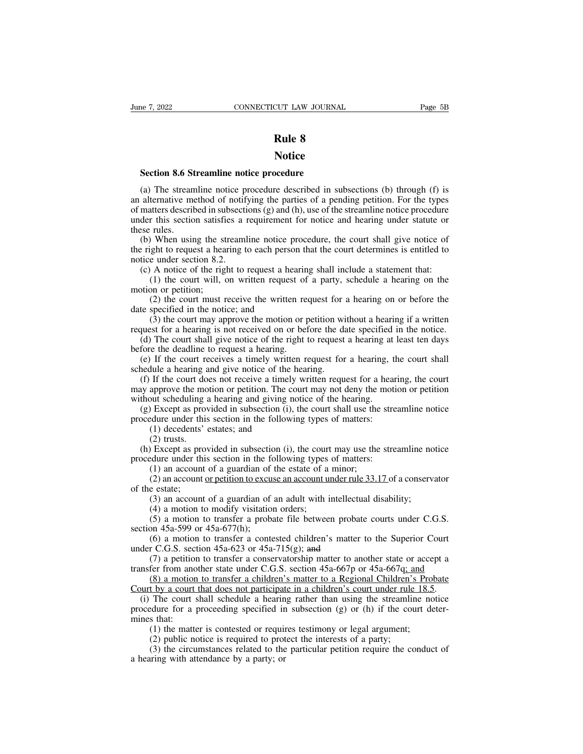## **Notice**

**SECTICUT LAW JOURNAL CONNECTICUT LAW JOURNAL Rule 8**<br> **Rule 8**<br> **Section 8.6 Streamline notice procedure**<br>
(a) The streamline notice procedure described in sum **Section 8.6 Streamline notice procedure**<br>(a) The streamline notice procedure described in subsections (b) through (f) is alternative method of notifying the parties of a pending petition. For the types matters described i **and Section 8.6 Streamline notice procedure**<br>
(a) The streamline notice procedure described in subsections (b) through (f) is<br>
an alternative method of notifying the parties of a pending petition. For the types<br>
of matter **Section 8.6 Streamline notice procedure**<br>(a) The streamline notice procedure described in subsections (b) through (f) is<br>an alternative method of notifying the parties of a pending petition. For the types<br>of matters descr **Notice**<br> **Section 8.6 Streamline notice procedure**<br>
(a) The streamline notice procedure described in subsections (b) through (f) is<br>
an alternative method of notifying the parties of a pending petition. For the types<br>
of **Section 8.6 St**<br>(a) The stream<br>an alternative me<br>of matters describ<br>under this sectio<br>these rules.<br>(b) When usin<br>the right to reque Section 8.6 Streamline notice procedure<br>
(a) The streamline notice procedure described in subsections (b) through (f) is<br>
alternative method of notifying the parties of a pending petition. For the types<br>
matters described (a) The streamline notice procedure described in subsections (b) through (f) is<br>an alternative method of notifying the parties of a pending petition. For the types<br>of matters described in subsections (g) and (h), use of t (a) The sucalified to the and alternative method of notif<br>of matters described in subsection<br>there this section satisfies a these rules.<br>(b) When using the streaml<br>the right to request a hearing t<br>notice under section 8.2. ancritanty included of notifying the parties of a pentung perturem. For the types matters described in subsections (g) and (h), use of the streamline notice procedure der this section satisfies a requirement for notice an

The court is set the court is set the court is section satisfies a requirement for notice and hearing under statute or rules.<br>
When using the streamline notice procedure, the court shall give notice of ight to request a he these rules.<br>
(b) When using the st<br>
the right to request a hear<br>
notice under section 8.2.<br>
(c) A notice of the right<br>
(1) the court will, a<br>
(2) the court must r<br>
date specified in the notic (2) the court shall give notice of ight to request a hearing to each person that the court determines is entitled to e under section 8.2.<br>
A notice of the right to request a hearing shall include a statement that:<br>
(1) the (b) When using the streamler holice prother right to request a hearing to each person<br>the right to request a hearing to each person<br>notice under section 8.2.<br>(c) A notice of the right to request a hea<br>(1) the court will,

(4) the court starting to each person that the court determines is entitled to e under section 8.2.<br>
(4) the court will, on written request of a party, schedule a hearing on the motion;<br>
(2) the court must receive the writ

request for a hearing is not request a hearing shall include a statement that:<br>
(1) the court will, on written request of a party, schedule a hearing on the<br>
motion or petition;<br>
(2) the court must receive the written req (c) A holice of the right to request a hearing shall include a statement that.<br>
(1) the court will, on written request of a party, schedule a hearing on the<br>
totion or petition;<br>
(2) the court must receive the written req (1) the court whit, on written request of<br>motion or petition;<br>(2) the court must receive the written re<br>date specified in the notice; and<br>(3) the court may approve the motion or p<br>request for a hearing is not received on (2) the court must receive the written request for a hearing on or before the te specified in the notice; and (3) the court may approve the motion or petition without a hearing if a written quest for a hearing is not rece

(2) the court must receive the written request for<br>date specified in the notice; and<br>(3) the court may approve the motion or petition wi<br>request for a hearing is not received on or before the da<br>(d) The court shall give n (3) the court may approve the motion or petition without a hearing if a written quest for a hearing is not received on or before the date specified in the notice.<br>(d) The court shall give notice of the right to request a request for a hearing is not received on or before the date specified in the notice.<br>
(d) The court shall give notice of the right to request a hearing at least ten days<br>
before the deadline to request a hearing.<br>
(e) If request for a hearing is not received on or before the date specified<br>(d) The court shall give notice of the right to request a hearing at<br>before the deadline to request a hearing.<br>(e) If the court receives a timely writte (a) The court shall give holie of the Fight to Equest a hearing at least ten tays<br>fore the deadline to request a hearing.<br>(e) If the court receives a timely written request for a hearing, the court shall<br>hedule a hearing a (e) If the court receives a timely written request for a hearing, the schedule a hearing and give notice of the hearing.<br>
(f) If the court does not receive a timely written request for a hearmay approve the motion or petit In the court receives a timely writted<br>the a hearing and give notice of the I<br>If the court does not receive a timely<br>approve the motion or petition. The court scheduling a hearing and giving n<br>Dexcept as provided in subsec Fraction and a literature<br>approve the moduli scheduling<br>bout scheduling<br>is Except as providure under this<br>(2) trusts.<br>(2) trusts. (i) If the court does not leceive a timely written request for a hearing, the court<br>ay approve the motion or petition. The court may not deny the motion or petition<br>thout scheduling a hearing and giving notice of the hear

may approve the motion of pethron. The court may not dery the motion<br>without scheduling a hearing and giving notice of the hearing.<br>(g) Except as provided in subsection (i), the court shall use the stre<br>procedure under th (1) an account of a guardian of the estate of a minor; (2) an account of a guardian of the estate of a minor; (1) decedents' estates; and (2) trusts.<br>
Except as provided in subsection (i), the court may use the edure under Except as provided in subsection (*i*), the court shart ase the streamline notice<br>cdure under this section in the following types of matters:<br>(1) decedents' estates; and<br>(2) trusts.<br>Except as provided in subsection (i), t (1) decedents'<br>
(2) trusts.<br>
(b) Except as pro<br>
procedure under the<br>
(1) an account<br>
(2) an account<br>
of the estate;<br>
(3) an account<br>
(4) a motion t (2) trusts.<br>
(2) trusts.<br>
(2) trusts.<br>
Except as provided in subsection (i), the court may use the streamline no<br>
dure under this section in the following types of matters:<br>
(1) an account of a guardian of the estate of a (2) transs.<br>
Except as provided in subsection (i), the court<br>
dure under this section in the following types<br>
(1) an account of a guardian of the estate of a<br>
(2) an account or petition to excuse an account us<br>
e estate;<br>

(1) an account of a guardian of<br>
(2) an account or petition to excuse<br>
of the estate;<br>
(3) an account of a guardian of<br>
(4) a motion to modify visitation<br>
(5) a motion to transfer a proba<br>
section 45a-599 or 45a-677(h);<br>

Except as provided in stablection (i), the court may use the steammine holice edure under this section in the following types of matters:<br>(1) an account of a guardian of the estate of a minor;<br>(2) an account or petition t (1) an account or a guardian or the estate or a minor,<br>
(2) an account or petition to excuse an account under rule 33.17 of a conservator<br>
e estate;<br>
(3) an account of a guardian of an adult with intellectual disability;<br>

The estate:<br>
(3) an account of a guardian of an adult with intellectu<br>
(4) a motion to modify visitation orders;<br>
(5) a motion to transfer a probate file between probat<br>
section 45a-599 or 45a-677(h);<br>
(6) a motion to tra (3) an account of a guardian of an adult with intellectual disability;<br>
(4) a motion to modify visitation orders;<br>
(5) a motion to transfer a probate file between probate courts under C.G.S.<br>
on 45a-599 or 45a-677(h);<br>
(6 (3) an account of a guardian of an addit while intertectual disability,<br>
(4) a motion to modify visitation orders;<br>
(5) a motion to transfer a probate file between probate courts under C.G.S.<br>
section 45a-599 or 45a-677(h (4) a motion to modify visitation otders,<br>
(5) a motion to transfer a probate file between probate courts under C.G.S.<br>
on 45a-599 or 45a-677(h);<br>
(6) a motion to transfer a contested children's matter to the Superior Cou

(3) a motion to transfer a probate the between probate courts under C.G.S.<br>section 45a-599 or 45a-677(h);<br>(6) a motion to transfer a contested children's matter to the Superior Court<br>under C.G.S. section 45a-623 or 45a-71 (6) a motion to transfer a contested children's matter to the Superior Court<br>der C.G.S. section 45a-623 or 45a-715(g); and<br>(7) a petition to transfer a conservatorship matter to another state or accept a<br>nsfer from anothe under C.G.S. section 45a-623 or 45a-715(g); and<br>
(7) a petition to transfer a conservatorship matter to another state or accept a<br>
transfer from another state under C.G.S. section 45a-667p or 45a-667q; and<br>
(8) a motion t (7) a petition<br>transfer from ano<br>(8) a motion<br>Court by a court<br>(i) The court sprocedure for a p<br>mines that:<br>(1) the matter<br>(2) public no (*i*) a petition to transfer a conservatorship matter to another state or accenter from another state under C.G.S. section 45a-667p or 45a-667q; and (8) a motion to transfer a children's matter to a Regional Children's Pr (8) a motion to transfer a children's matter to a Regional Children's<br>
(8) a motion to transfer a children's matter to a Regional Children's<br>
t by a court that does not participate in a children's court under rule<br>
The co (3) a motion to transfer a cindictributed to a Regional Cindictri s Frozate to the participate in a children's court under rule 18.5. The court shall schedule a hearing rather than using the streamline notice edure for a (i) The court shall schedule a hearing procedure for a proceeding specified in mines that:<br>(1) the matter is contested or requin (2) public notice is required to prot (3) the circumstances related to the a hearing with at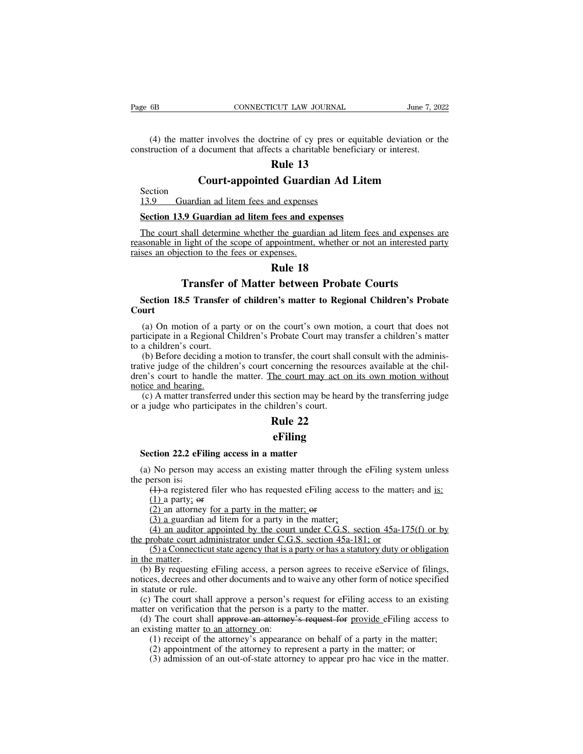(4) the matter involves the doctrine of cy pres or equitable deviation or the matter involves the doctrine of cy pres or equitable deviation or the muction of a document that affects a charitable beneficiary or interest. Page 6B CONNECTICUT LAW JOURNAL June 7, 20<br>
(4) the matter involves the doctrine of cy pres or equitable deviation or the construction of a document that affects a charitable beneficiary or interest.<br> **Rule 13 Rule 13**<br>**Rule 13**<br>**Rule 13**<br>**Rule 13**<br>**Rule 13**<br>**Rule 13 CONNECTICUT LAW JOURNAL** June 7, 2022<br>
ET INVOIVES the doctrine of cy pres or equitable deviation or the<br>
document that affects a charitable beneficiary or interest.<br> **Rule 13**<br> **Court-appointed Guardian Ad Litem**<br>
Idian (4) the matter involves the doctrine of cy pres or e<br>nstruction of a document that affects a charitable bene<br>**Rule 13**<br>**Court-appointed Guardian Ad**<br>Section<br>13.9 Guardian ad litem fees and expenses<br>Section 13.9 Guardian ad

Section<br>13.9 Guardian ad litem fees and expenses

Instruction of a document that affects a charitable beneficiary<br> **Rule 13**<br> **Section**<br>
<u>Section</u><br>
<u>Section 13.9 Guardian ad litem fees and expenses<br>
Section 13.9 Guardian ad litem fees and expenses<br>
The court shall determi</u> The court shall determine whether the guardian ad litem fees and expenses<br>The court shall determine whether the guardian ad litem fees and expenses<br>The court shall determine whether the guardian ad litem fees and expenses **Court-appointed Guardian Ad Litem**<br>13.9 Guardian ad litem fees and expenses<br>Section 13.9 Guardian ad litem fees and expenses<br>The court shall determine whether the guardian ad litem fees and expenses are<br>reasonable in ligh Section<br>13.9 Guardian ad litem fees and expenses<br>Section 13.9 Guardian ad litem fees and ex<br>The court shall determine whether the guardia<br>reasonable in light of the scope of appointment,<br>raises an objection to the fees or readed and expenses<br>
readed and expenses<br>
readed and expenses<br>
readed and litem<br>
propositions.<br> **Rule 18**<br> **Rule 18 The Matter of Matter between Probate Courts**<br> **Transfer of Matter between Probate Courts**<br> **Transfer of Matter between Probate Courts**<br> **Transfer of Matter between Probate Courts**<br> **Rule 18** The court shall determine whether the guardian ad litem fees and expenses are<br>
ssonable in light of the scope of appointment, whether or not an interested party<br>
ses an objection to the fees or expenses.<br> **Rule 18**<br> **Secti** 

# **Court**

(a) On motion of a party or on the court's own motion, a court that does not ticipate in a Regional Children's Probate Court may transfer a children's matter a children's court. **Fransfer of Matter between Probate Courts**<br>**Section 18.5 Transfer of children's matter to Regional Children's Probate**<br>Court<br>(a) On motion of a party or on the court's own motion, a court that does not<br>participate in a Re **Transfer o**<br>**Section 18.5 Transfer**<br>**Court**<br>(a) On motion of a par<br>participate in a Regional C<br>to a children's court.<br>(b) Before deciding a m<br>trative judge of the childre

(b) Before deciding a motion to transfer, the court's own motion, a court that does not transfer in a Regional Children's Probate Court is own motion, a court that does not tricipate in a Regional Children's Probate Court Section 18.5 Transfer of children's matter to Regional Children's Probate<br>Court<br>(a) On motion of a party or on the court's own motion, a court that does not<br>participate in a Regional Children's Probate Court may transfer a **Court**<br>
(a) On motion of a party or on the court's own motion, a court that does not<br>
participate in a Regional Children's Probate Court may transfer a children's matter<br>
to a children's court.<br>
(b) Before deciding a moti (a) On motion of a p<br>participate in a Regional<br>to a children's court.<br>(b) Before deciding a a<br>trative judge of the child<br>dren's court to handle tl<br>notice and hearing.<br>(c) A matter transferre<br>or a judge who participa (a) On motion or a party of on the court s own motion, a court that does not<br>ticipate in a Regional Children's Probate Court may transfer a children's matter<br>a children's court.<br>(b) Before deciding a motion to transfer, t participate in a Regional Cintuities in to boat Court inay to a children's court.<br>
(b) Before deciding a motion to transfer, the court shall<br>
trative judge of the children's court concerning the resourched<br>
and hearing.<br>
( Frocate Court hay transfer, the court hall concerning the resource<br>
The court may act on is<br>
section may be heard b<br>
ildren's court.<br> **Rule 22**<br> **eFiling** 

tice and hearing.<br>
(c) A matter transferred under this section may be h<br>
a judge who participates in the children's court.<br> **Rule 22**<br> **Section 22.2 eFiling access in a matter**<br>
(a) No person may access an existing matter

## **eFiling**

(a) No person may access an existing matter through the eFiling system unless<br>(a) No person may access an existing matter through the eFiling system unless<br>experson is:<br>(4)-a registered filer who has requested eFiling acce **Section 22.2 eFil**<br>
(a) No person mathe person is:<br>
(1) a registered<br>
(1) a party; or (1) a registered filer who has requested eFiling access to the matter; and is:<br>(1) a party; or<br>(2) an attorney for a party in the matter; or<br>(2) an attorney for a party in the matter; or **ction 22.2 eFiling ac**<br>
(No person may acce<br>
erson is:<br>
(1) a registered filer v<br>
(1) a party; or<br>
(2) an attorney <u>for a</u> (3) a guardian ad liter (1) an applying access in a matter<br>(1) No person may access an existing matter through<br>erson is:<br>(1)-a registered filer who has requested eFiling acc<br>(1) a party; or<br>(2) an attorney for a party in the matter; or<br>(3) a gua

(4) a guardian additional and the matter<br>
(3) a person may access an existing matter through the<br>
erson is:<br>
(4)-a registered filer who has requested effiling access<br>
(1) a party; or<br>
(2) an attorney for a party in the ma No person may access an existing matter through the eFiling system unless<br>erson is:<br> $(1)$ -a registered filer who has requested eFiling access to the matter; and <u>is:</u><br> $(1)$  a party; or<br> $(2)$  an attorney for a party in the

(a) NO person may access an existing matter unough the erring system<br>the person is:<br>(1) a party; or<br>(2) an attorney for a party in the matter; or<br>(3) a guardian ad litem for a party in the matter;<br>(4) an auditor appointed (4)-a registered filer who has requested eFiling access to the matter; and is:<br>
(1) a party; or<br>
(2) an attorney for a party in the matter; or<br>
(3) a guardian ad litem for a party in the matter;<br>
(4) an auditor appointed

 $(1)$  a party; or<br>  $(2)$  an attorney<br>  $(3)$  a guardian<br>  $(4)$  an auditor<br>
the probate court a<br>  $(5)$  a Connection<br>
in the matter.<br>
(b) By requesting (1) a party, or<br>
(2) an attorney for a party in the matter; or<br>
(3) a guardian ad litem for a party in the matter;<br>
(4) an auditor appointed by the court under C.G.S. section 45a-175(f) or by<br>
e probate court administrato (2) an atomey <u>for a party in the matter</u>, or<br>
(3) a guardian ad litem for a party in the matter;<br>
(4) an auditor appointed by the court under C.G.S. section 45a-175(f) or by<br>
the probate court administrator under C.G.S.  $(4)$  an auditor app<br>the probate court admi<br> $(5)$  a Connecticut s<br>in the matter.<br>(b) By requesting elf<br>notices, decrees and oth<br>in statute or rule.<br>(c) The court shall a<br>matter on verification 1 (a) an addition appointed by the court under C.G.S. section 45a-175(1) or by<br>
e probate court administrator under C.G.S. section 45a-181; or<br>
(5) a Connecticut state agency that is a party or has a statutory duty or oblig (5) a Connecticut state agency that is a party or has a statutory du<br>in the matter.<br>(b) By requesting eFiling access, a person agrees to receive eSer<br>notices, decrees and other documents and to waive any other form of<br>in (b) a connected state agency that is a party of mas a statutory duty of oongation<br>the matter.<br>(b) By requesting eFiling access, a person agrees to receive eService of filings,<br>tices, decrees and other documents and to wai (b) By requesting eFiling access, a person<br>notices, decrees and other documents and to<br>in statute or rule.<br>(c) The court shall approve a person's r<br>matter on verification that the person is a j<br>(d) The court shall approve (2) appointment of the attorney's appearance on behalf of a party in the matter;<br>(3) admission of an out-of-state attorney's request for eFiling access to an existing<br>or on verification that the person's request for eFilin

tute or rule.<br>The court shall approve a person's request for eFiling access to an existin<br>or on verification that the person is a party to the matter.<br>The court shall approve an attorney's request for provide eFiling acces The court shall approve a person's request for eFiling access to an existing<br>er on verification that the person is a party to the matter.<br>The court shall approve an attorney's request for provide eFiling access to<br>isting m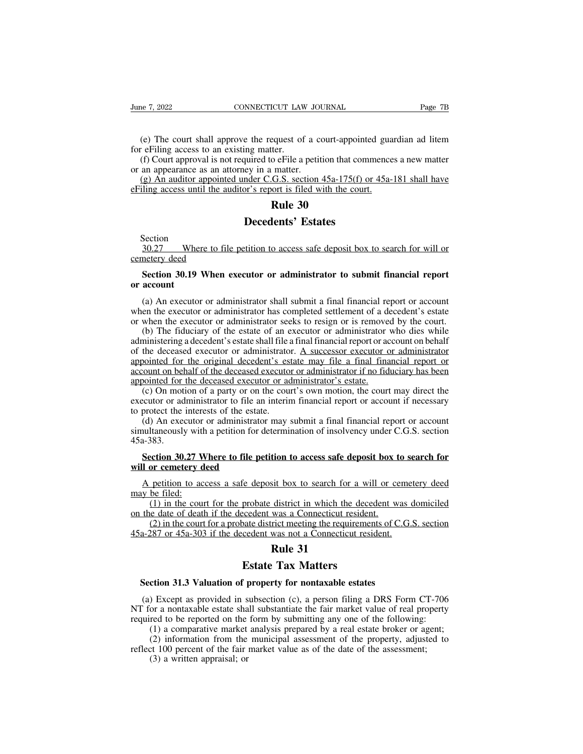(e) The court shall approve the request of a court-appointed guardian ad litem<br>
(e) The court shall approve the request of a court-appointed guardian ad litem<br>
(f) Court approval is not required to eFile a petition that co For example the country of the contract contract the example of the example of the equest of for effiling access to an existing matter.<br>(f) Court approval is not required to effile a or an appearance as an attorney in a ma (e) The court shall approve the request of a court-appointed guardian ad litem<br>
(e) The court shall approve the request of a court-appointed guardian ad litem<br>
(f) Court approval is not required to eFile a petition that co June 7, 2022<br>
CONNECTICUT LAW JOU<br>
(e) The court shall approve the request of a corting access to an existing matter.<br>
(f) Court approval is not required to eFile a petit<br>
or an appearance as an attorney in a matter.<br>
(g) (e) The court shall approve the request of a court-appointed guardian ad litem<br>
refiling access to an existing matter.<br>
(f) Court approval is not required to effile a petition that commences a new matter<br>
an appearance as (e) The court shall approve the request of a court-appointed gua<br>for eFiling access to an existing matter.<br>(f) Court approval is not required to eFile a petition that commence<br>or an appearance as an attorney in a matter.<br> Exerces of a court-appoiter.<br> **Rule 30**<br> **Rule 30**<br> **Rule 30**<br> **Rule 30**<br> **Rule 30**<br> **Rule 30**<br> **Rule 30** 

Equest of a court-appointed<br>ing matter.<br>quired to eFile a petition that comm<br>ey in a matter.<br>nder C.G.S. section 45a-175(f) or<br>or's report is filed with the court.<br>**Rule 30**<br>**Decedents' Estates**<br>tition to access safe depos

Section

 $\frac{30.27}{20.27}$  Where to file petition to access safe deposit box to search for will or<br>Section<br>Section 20.10 When syncatry or edministrator to submit financial manner<br>Section 20.10 When syncatry or edministrator to sub Erning access until the at<br>30.27 Where to fil<br>cemetery deed<br>Section 30.19 When **Section**<br>
Section<br>
30.27 Where to file petition to access safe deposit box to search for will or<br> **Section 30.19 When executor or administrator to submit financial report**<br>
account Section<br>
30.27 Wher<br>
cemetery deed<br>
Section 30.19<br>
or account<br>
(a) An executor

Section<br>
30.27 Where to file petition to access safe deposit box to search for will or<br> **netery deed**<br> **Section 30.19 When executor or administrator to submit financial report**<br> **account**<br>
(a) An executor or administrator 30.27 Where to file petition to access safe deposit box to search for will or<br>cemetery deed<br>Section 30.19 When executor or administrator to submit financial report<br>or account<br>(a) An executor or administrator shall submit a Section 30.19 When executor or administrator to submit financial report<br>or account<br>(a) An executor or administrator shall submit a final financial report or account<br>when the executor or administrator has completed settleme

(a) An executor or administrator to submit financial report account<br>(a) An executor or administrator shall submit a final financial report or account<br>en the executor or administrator has completed settlement of a decedent **Section 30.19 When executor or administrator to submit financial report** or account<br>or account<br>(a) An executor or administrator shall submit a final financial report or account<br>when the executor or administrator has comp or account<br>
(a) An executor or administrator shall submit a final financial report or account<br>
when the executor or administrator has completed settlement of a decedent's estate<br>
or when the executor or administrator seeks (a) An executor or administrator shall submit a final financial report or account<br>when the executor or administrator has completed settlement of a decedent's estate<br>or when the executor or administrator seeks to resign or (a) An executor or administrator shan submit a rinal mianciar report or account<br>when the executor or administrator has completed settlement of a decedent's estate<br>or when the executor or administrator seeks to resign or is when the executor or administrator has completed settement or a diversion of when the executor or administrator seeks to resign or is remove (b) The fiduciary of the estate of an executor or administrator administrator's a (b) The fiduciary of the estate of an executor or administrator who dies while ministering a decedent's estate shall file a final financial report or account on behalf the deceased executor or administrator. A successor ex (b) The Hudchary or the estate or an executor or administrator who dies while<br>administering a decedent's estate shall file a final financial report or account on behalf<br>of the deceased executor or administrator. A successo administering a decedent sestate sharm in the of the deceased executor or administrato appointed for the original decedent's estace account on behalf of the deceased executor or at (c) On motion of a party or on the course not decreased executor or administrator. A successor executor or administrator<br>count on behalf of the deceased executor or administrator if no fiduciary has been<br>oointed for the deceased executor or administrator's estate.

solution of the deceased executor or administrator if no fiduciary has been<br>appointed for the deceased executor or administrator if no fiduciary has been<br>appointed for the deceased executor or administrator's estate.<br>(c) O (c) On motion of a party or on the court's own motion, the court may direct the ecutor or administrator to file an interim financial report or account if necessary protect the interests of the estate.<br>
(d) An executor or a

45a-383. executor or administrator to file an<br>to protect the interests of the estate<br>(d) An executor or administrator<br>simultaneously with a petition for da<br>45a-383.<br>**Section 30.27 Where to file pet<br>will or cemetery deed**<br>A petition (d) An executor or administrator may submit a final financial report or account<br>nultaneously with a petition for determination of insolvency under C.G.S. section<br>a-383.<br>**Section 30.27 Where to file petition to access safe** (d) An executor or administrator may submit a final financial report or account<br>simultaneously with a petition for determination of insolvency under C.G.S. section<br>45a-383.<br>**Section 30.27 Where to file petition to access** 

(1) in the court for the petition to access safe deposit box to search for<br>por cemetery deed<br>petition to access a safe deposit box to search for a will or cemetery deed<br>be filed:<br>(1) in the court for the probate district ection 30.27 Where to file petition to access safe deposit box to search for<br>or cemetery deed<br>petition to access a safe deposit box to search for a will or cemetery deed<br>be filed:<br>(1) in the court for the probate district Solution School School School School School School School School School School School School School School School School School School School School School School School School School School School School School School Sch

Section 30.27 Where to file petition to access safe deposit box t<br>will or cemetery deed<br>A petition to access a safe deposit box to search for a will or ce<br>may be filed:<br>(1) in the court for the probate district in which th 45a-287 or 45a-303 if the decedent was not a Connecticut resident.<br>
45a-287 or 45a-303 if the decedent was not a Connecticut resident.<br>
45a-287 or 45a-303 if the decedent was not a Connecticut resident.<br>
45a-287 or 45a-30 Exteed the deposit box to search for a will<br>probate district in which the deced<br>ceedent was a Connecticut resident.<br>bate district meeting the requirement<br>ceedent was not a Connecticut resid<br>**Rule 31**<br>**Estate Tax Matters**<br>f

(2) in the court for a probate district meeting the requirements of C.G.S. section 45a-287 or 45a-303 if the decedent was not a Connecticut resident.<br> **Rule 31**<br> **Section 31.3 Valuation of property for nontaxable estates**<br>

(a) Except as provided in subsection (c), a person filing a DRS Form CT-706<br>
(a) Except as provided in subsection (c), a person filing a DRS Form CT-706<br>
(a) Except as provided in subsection (c), a person filing a DRS Form **Estate Tax Matters**<br> **NT For a nontaxable estates**<br>
(a) Except as provided in subsection (c), a person filing a DRS Form CT-706<br>
NT for a nontaxable estate shall substantiate the fair market value of real property<br>
requir **Estate Tax Matters**<br>**Estate Tax Matters**<br>(a) Except as provided in subsection (c), a person filing a DRS Form CT-706<br>NT for a nontaxable estate shall substantiate the fair market value of real property<br>required to be repo **Estate Tax Matters**<br> **CERCT CONTEX CONTEX CONTEX CONTEX CONTEX CONTEX CONTEX CONTEX CONTEX CONTEX CONTEX CONTEX CONTEX CONTEX CONTEX CONTEX CONTEX CONTEX CONTEX CONTEX CONTEX CONTEX CONTEX CONTEX CONTEX CONTEX CONTEX CONT** (2) information of property for nontaxable estates<br>
(2) Except as provided in subsection (c), a person filing a DRS Form CT-706<br>
or a nontaxable estate shall substantiate the fair market value of real property<br>
red to be r **Section 31.3 Valuation of property for nontaxable estates**<br>(a) Except as provided in subsection (c), a person filing a DRS Form CT-706<br>NT for a nontaxable estate shall substantiate the fair market value of real property<br> (3) Except as provided in s<br>or a nontaxable estate sha<br>red to be reported on the<br>(1) a comparative market<br>(2) information from the<br>tt 100 percent of the fair<br>(3) a written appraisal; or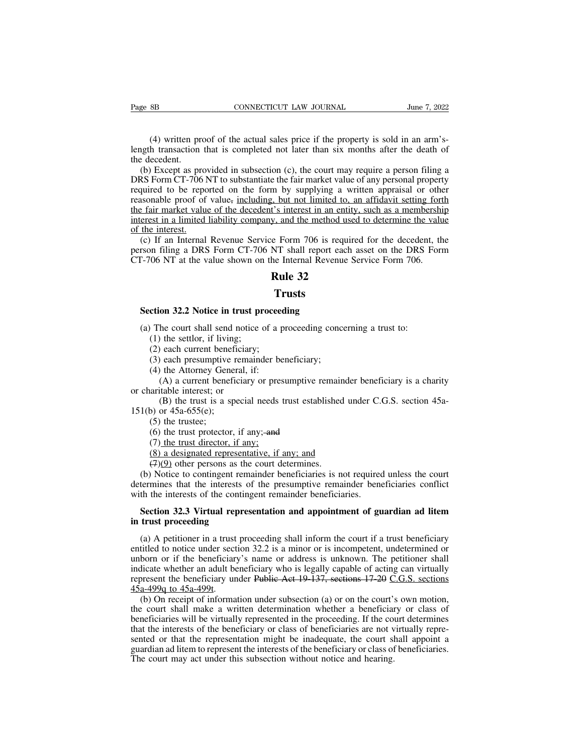(4) written proof of the actual sales price if the property is sold in an arm's-<br>the transaction that is completed not later than six months after the death of ecedent. Page 8B CONNECTICUT LAW JOURNAL June 7, 2022<br>(4) written proof of the actual sales price if the property is sold in an arm's-<br>length transaction that is completed not later than six months after the death of<br>the decedent.<br> Page 8B<br>
(4) written pro<br>
length transaction<br>
the decedent.<br>
(b) Except as profiles to the decedent.

(4) written proof of the actual sales price if the property is sold in an arm's-<br>
(4) written proof of the actual sales price if the property is sold in an arm's-<br>
1991 transaction that is completed not later than six mont (4) written proof of the actual sales price if the property is sold in an arm's-<br>length transaction that is completed not later than six months after the death of<br>the decedent.<br>(b) Except as provided in subsection (c), the (4) written proof of the actual sales price if the property is sold in an arm's-<br>length transaction that is completed not later than six months after the death of<br>the decedent.<br>(b) Except as provided in subsection (c), th (4) written proof of the actual sales price if the property is sold in an arm's-<br>length transaction that is completed not later than six months after the death of<br>the decedent.<br>(b) Except as provided in subsection (c), th ( $\rightarrow$ ) white proof of the actual sates price if the property is sold in an anti-<br>length transaction that is completed not later than six months after the death of<br>the decedent.<br>(b) Except as provided in subsection (c), th interest.<br>
(b) Except as provided in subsection (c), the court may require a person filing a<br>
DRS Form CT-706 NT to substantiate the fair market value of any personal property<br>
required to be reported on the form by supply (b) Except as pro<br>DRS Form CT-706 l<br>required to be repo<br>reasonable proof of<br>the fair market value<br>interest in a limited<br>of the interest.<br>(c) If an Internal<br>person filing a DRS (c) Except as provided in stosection (c), the contrinty require a person ring a RS Form CT-706 NT to substantiate the fair market value of any personal property quired to be reported on the form by supplying a written app personal property<br>required to be reported on the form by supplying a written appraisal or other<br>reasonable proof of value, <u>including, but not limited to, an affidavit setting forth</u><br>the fair market value of the decedent's required to be reported on the form by supprying a written appraisan of onte<br>reasonable proof of value, including, but not limited to, an affidavit setting fort<br>the fair market value of the decedent's interest in an entity **Rule 32**<br>**Rule 32**<br>**Rule 32**<br>**Rule 32**<br>**Rule 32**<br>**Rule 32**<br>**Rule 32**<br>**Rule 32**<br>**Rule 32** 

(c) It an internal Revenue Service Form 700 is region filing a DRS Form CT-706 NT shall report eat-706 NT at the value shown on the Internal Revenue Rule 32<br> **Rule 32**<br> **Rule 32**<br> **Section 32.2 Notice in trust proceeding**<br>

## **Trusts**

(a) The court shall send notice of a proceeding<br>(a) The court shall send notice of a proceeding<br>(a) The court shall send notice of a proceeding concerning a trust to:<br>(1) the settlor, if living;<br>(2) each current beneficiar (1) **32.2 Notice in trust pr**<br>(1) the settlor, if living;<br>(2) each current beneficiary;<br>(3) each presumptive remaind T<br>
(2) ction 32.2 Notice in trust proceed<br>
(1) the settlor, if living;<br>
(2) each current beneficiary;<br>
(3) each presumptive remainder be<br>
(4) the Attorney General, if: Trusts<br>
ction 32.2 Notice in trust proceeding<br>
(1) the settlor, if living;<br>
(2) each current beneficiary;<br>
(3) each presumptive remainder beneficiary;<br>
(4) the Attorney General, if:<br>
(A) a current beneficiary or presumptiv

**ction 32.2 Notice in trust proceed**<br>(1) the settlor, if living;<br>(1) the settlor, if living;<br>(2) each current beneficiary;<br>(3) each presumptive remainder be<br>(4) the Attorney General, if:<br>(A) a current beneficiary or presum (A) a current beneficiary or presumptive remainder beneficiary or presumptive remainder beneficiary;<br>
(A) a current beneficiary;<br>
(A) a current beneficiary is a charity or presumptive remainder beneficiary is a charity<br>
( (a) The court shall send notio<br>
(1) the settlor, if living;<br>
(2) each current beneficiar<br>
(3) each presumptive rema<br>
(4) the Attorney General, i<br>
(A) a current beneficiary<br>
or charitable interest; or<br>
(B) the trust is a s (B) the settlor, if living;<br>
(B) each current beneficiary;<br>
(B) each presumptive remainder beneficiary;<br>
(A) a current beneficiary or presumptive remainder beneficiary is a charity<br>
(B) the trust is a special needs trust (2) each current benefit<br>
(3) each presumptive r<br>
(4) the Attorney Gener<br>
(A) a current benefit<br>
or charitable interest; or<br>
(B) the trust is a spe<br>
151(b) or 45a-655(e);<br>
(5) the trustee;<br>
(6) the trust protector, (3) each presumptive<br>
(4) the Attorney Gen<br>
(A) a current bene<br>
arritable interest; or<br>
(B) the trust is a s<br>
(5) or 45a-655(e);<br>
(5) the trustee;<br>
(6) the trust protecto<br>
(7) the trust director, (4) the Attorney General, if:<br>
(A) a current beneficiary or presumptive rearitable interest; or<br>
(B) the trust is a special needs trust estable<br>
(b) or 45a-655(e);<br>
(5) the trustee;<br>
(6) the trust protector, if any; and<br> (A) a current beneficiary or pres<br>aritable interest; or<br>(B) the trust is a special needs<br>o) or 45a-655(e);<br>(5) the trustee;<br>(6) the trust protector, if any; and<br>(7) the trust director, if any;<br>(8) a designated representat

aritable interest; or<br>
(B) the trust is a special needs trust established uno<br>
(5) or 45a-655(e);<br>
(5) the trustee;<br>
(6) the trust protector, if any; and<br>
(7) the trust director, if any; and<br>
(7) the trust director, if an

(B) the trust is a special needs trust established<br>
(5) or 45a-655(e);<br>
(5) the trustee;<br>
(6) the trust protector, if any;-and<br>
(7) the trust director, if any;<br>
(8) a designated representative, if any; and<br>
(7)(9) other p (b) or 45a-655(e);<br>
(5) the trustee;<br>
(6) the trust protector, if any; and<br>
(7) the trust director, if any;<br>
(8) a designated representative, if any; and<br>
(4)(9) other persons as the court determines.<br>
(b) Notice to conti (5) the trustee;<br>
(6) the trust protector, if any; and<br>
(7) the trust director, if any:<br>
(8) a designated representative, if any; and<br>
(7)(9) other persons as the court determines.<br>
(b) Notice to contingent remainder bene (6) the trust protector, if any; and<br>
(7) the trust director, if any;<br>
(8) a designated representative, if any; and<br>
(7)(9) other persons as the court determines.<br>
(b) Notice to contingent remainder beneficiaries is not r (*f*) the trust director, if any:<br>
(8) a designated representative, if any; and<br>  $\left(\frac{1}{2}\right)\left(\frac{0}{2}\right)$  other persons as the court determines.<br>
(b) Notice to contingent remainder beneficiaries is not required unless the (8) a designated representa<br>  $\left(\frac{7}{2}\right)\left(\frac{9}{2}\right)$  other persons as the<br>
(b) Notice to contingent remade<br>
determines that the interests of<br>
with the interests of the conting<br> **Section 32.3 Virtual repres<br>
in trust proce** 

(b) Notice to contingent remainder beneficiaries is not required unless the court<br>termines that the interests of the presumptive remainder beneficiaries conflict<br>th the interests of the contingent remainder beneficiaries. determines that the interests of the presumptive remainder beneficiaries conflict<br>with the interests of the contingent remainder beneficiaries.<br>**Section 32.3 Virtual representation and appointment of guardian ad litem**<br>in with the interests of the contingent remainder beneficiaries.<br> **Section 32.3 Virtual representation and appointment of guardian ad litem**<br>
in trust proceeding<br>
(a) A petitioner in a trust proceeding shall inform the court **Section 32.3 Virtual representation and appointment of guardian ad litem**<br>in trust proceeding<br>(a) A petitioner in a trust proceeding shall inform the court if a trust beneficiary<br>entitled to notice under section 32.2 is **Section 32.3 Virtual representation and appointment of guardian ad litem**<br>in trust proceeding<br>(a) A petitioner in a trust proceeding shall inform the court if a trust beneficiary<br>entitled to notice under section 32.2 is in trust proceeding<br>
(a) A petitioner in a trust proceeding shall inform the court if a trust beneficiary<br>
entitled to notice under section 32.2 is a minor or is incompetent, undetermined or<br>
unborn or if the beneficiary' (a) A petitioner in a trust proceeding shall inform the court if a trust beneficiary<br>titled to notice under section 32.2 is a minor or is incompetent, undetermined or<br>born or if the beneficiary's name or address is unknow (a) A pethology in a thist ploceting shall movin the court if a thist ocherrelary<br>entitled to notice under section 32.2 is a minor or is incompetent, undetermined or<br>unborn or if the beneficiary's name or address is unkno

entified to notice under section 32.2 is a film of or is incompletent, undetermined of unborn or if the beneficiary's name or address is unknown. The petitioner shall indicate whether an adult beneficiary who is legally c indicate whether an adult beneficiary who is legally capable of acting can virtually represent the beneficiary under Public Act 19-137, sections  $17-20$  C.G.S. sections  $45a-499q$  to  $45a-499t$ .<br>(b) On receipt of informat Fraction the beneficiary under Public Act 19-137, sections 17-20 C.G.S. sections  $45a-499q$  to  $45a-499t$ .<br>(b) On receipt of information under subsection (a) or on the court's own motion, the court shall make a written de  $\frac{45a-499q}{45a-499q}$  to  $\frac{45a-499t}{45a-499l}$ .<br>(b) On receipt of information under subsection (a) or on the court's own motion, the court shall make a written determination whether a beneficiary or class of beneficia (b) On receipt of information under subsection (a) or on the court's<br>the court shall make a written determination whether a beneficiar<br>beneficiaries will be virtually represented in the proceeding. If the co<br>that the inte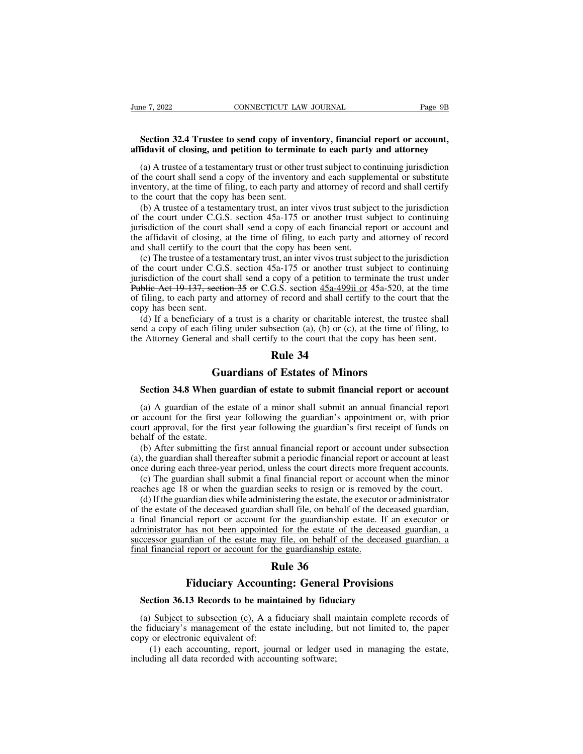# **Section 32.4 Trustee to send copy of inventory, financial report or account,**<br> **Section 32.4 Trustee to send copy of inventory, financial report or account,**<br> **Section 32.4 Trustee to send copy of inventory, financial rep affidavit of closing, and petition to terminate to each party and attorney**<br> **affidavit of closing, and petition to terminate to each party and attorney**<br>
(a) A trustee of a testamentary trust or other trust subject to co

(a) A trustee to send copy of inventory, financial report or account,<br>
and a trustee to send copy of inventory, financial report or account,<br>
fidavit of closing, and petition to terminate to each party and attorney<br>
(a) A Section 32.4 Trustee to send copy of inventory, financial report or account,<br>affidavit of closing, and petition to terminate to each party and attorney<br>(a) A trustee of a testamentary trust or other trust subject to conti Section 32.4 Trustee to send copy of inventory, financial report or account,<br>affidavit of closing, and petition to terminate to each party and attorney<br>(a) A trustee of a testamentary trust or other trust subject to contin **Section 32.4 Trustee to send copy of inventory, financial report or account,**<br>**affidavit of closing, and petition to terminate to each party and attorney**<br>(a) A trustee of a testamentary trust or other trust subject to c Section 32.4 Trustee to send copy of inventory, financial report or account,<br>fidavit of closing, and petition to terminate to each party and attorney<br>(a) A trustee of a testamentary trust or other trust subject to continu

amaavit of closing, and petition to terminate to each party and attorney<br>
(a) A trustee of a testamentary trust or other trust subject to continuing jurisdiction<br>
of the court shall send a copy of the inventory and each s (a) A trustee of a testamentary trust or other trust subject to continuing jurisdiction<br>of the court shall send a copy of the inventory and each supplemental or substitute<br>inventory, at the time of filing, to each party an (a) Translet of a destainentally disk of older trask slopect to continuing jurisdiction<br>of the court shall send a copy of the inventory and each supplemental or substitute<br>inventory, at the time of filing, to each party a and shall certify and shall certify of the inventory and each supplies<br>inventory, at the time of filing, to each party and attorney of rec-<br>to the court that the copy has been sent.<br>(b) A trustee of a testamentary trust, a (b) A trustee of a testamentary trust, an inter vivos trust subject to the jurisdiction the court under C.G.S. section 45a-175 or another trust subject to continuing isdiction of the court shall send a copy of each financ (b) A trustee of a testamentary trust, an inter vivos trust subject to the jurisdiction<br>of the court under C.G.S. section 45a-175 or another trust subject to continuing<br>jurisdiction of the court shall send a copy of each

(b) A tussee of a testamentary trust, an inter vivos trust subject to the jurisdiction of the court under C.G.S. section 45a-175 or another trust subject to continuing jurisdiction of the court shall send a copy of each f burisdiction of the court shall send a copy of each financial report or account and the affidavit of closing, at the time of filing, to each party and attorney of record and shall certify to the court that the copy has be of filing, to each party and shall certify to the court shall certify to the court that the copy has been sent.<br>
(c) The trustee of a testamentary trust, an inter vivos trust subject to the jurisdiction<br>
of the court unde and shall certify to the comparison<br>and shall certify to the co<br>(c) The trustee of a testa<br>of the court under C.G.S<br>jurisdiction of the court s<br>Public Act 19-137, section<br>of filing, to each party an<br>copy has been sent.<br>(d) (c) The trustee of a testamentary trust, an inter vivos trust subject to the jurisdiction the court under C.G.S. section 45a-175 or another trust subject to continuing isdiction of the court shall send a copy of a petitio (c) The trastee of a testamentary dust, an inter vivos dust stoppet to the jurisdiction<br>of the court under C.G.S. section 45a-175 or another trust subject to continuing<br>jurisdiction of the court shall send a copy of a pet by initial certify to the court and shall send a copy of a petition to terminate the trust under<br>Public Act 19-137, section 35 or C.G.S. section  $\frac{45a-499i}{10}$  or 45a-520, at the time<br>of filing, to each party and attor copy of a petition to te<br>G.S. section  $\frac{45a-499i1}{45a-499i1}$ <br>of record and shall cert<br>charity or charitable in<br>section (a), (b) or (c),<br>fy to the court that the<br>**Rule 34**<br>of Estates of Minon

**Guardians of Estates of Minors**<br> **Guardians of Estates of Minors**<br> **Guardians of Estates of Minors**<br> **Guardians of Estates of Minors**<br> **Cuardians of Estates of Minors**<br> **Cuardians of Estates of Minors** (a) It a beneficially of a trast is a enarry of enarriable interest, the transic shall of a copy of each filing under subsection (a), (b) or (c), at the time of filing, to extremely General and shall certify to the court

(a) A guardian of the estate of a minor shall submit an annual financial report<br>(a) A guardian of the estate of a minor shall submit an annual financial report<br>(a) A guardian of the estate of a minor shall submit an annual **Cuardians of Estates of Minors**<br> **Section 34.8 When guardian of estate to submit financial report or account**<br>
(a) A guardian of the estate of a minor shall submit an annual financial report<br>
or account for the first year **Cuardians of Estates of Minors**<br>**Section 34.8 When guardian of estate to submit financial report or account**<br>(a) A guardian of the estate of a minor shall submit an annual financial report<br>or account for the first year fo **Gu:**<br>**Section 34.8 When gu**<br>(a) A guardian of the or<br>account for the first y<br>court approval, for the fin<br>behalf of the estate.<br>(b) After submitting the<br>(a), the guardian shall ther Section 34.8 When guardian of estate to submit financial report or account (a) A guardian of the estate of a minor shall submit an annual financial report account for the first year following the guardian's appointment or, Section 34.8 When guardian of estate to submit infiancial report or account<br>
(a) A guardian of the estate of a minor shall submit an annual financial report<br>
or account for the first year following the guardian's appointm (a) A guardian of the estate of a minor shall submit an annual financial report or account for the first year following the guardian's appointment or, with prior court approval, for the first year following the guardian's (a) The guardian shall submit of the first year following the guardian's appointment or, with prior account for the first year following the guardian's first receipt of funds on half of the estate.<br>(b) After submitting the

reaches age 18 or when the guardian shall file, on behalf of the deceased guardian.<br>
(b) After submitting the first annual financial report or account under subsection<br>
(a), the guardian shall thereafter submit a periodic

half of the estate.<br>(b) After submitting the first annual financial report or account under subsection<br>, the guardian shall thereafter submit a periodic financial report or account at least<br>ce during each three-year period (b) After submitting the first annual financial report or account under subsection (a), the guardian shall thereafter submit a periodic financial report or account at least once during each three-year period, unless the co (a), the guardian shall thereafter submit a periodic financial report or account at least<br>once during each three-year period, unless the court directs more frequent accounts.<br>(c) The guardian shall submit a final financia (a), once during each three-year period, unless the court directs more frequent accounts.<br>
(c) The guardian shall submit a final financial report or account when the minor<br>
reaches age 18 or when the guardian seeks to resi successor guardian shall submit a final financial report or account when the minor<br>reaches age 18 or when the guardian seeks to resign or is removed by the court.<br>(d) If the guardian dies while administering the estate, t (c) The guardian shall sholl at final financial report of account reaches age 18 or when the guardian seeks to resign or is remove (d) If the guardian dies while administering the estate, the execute of the estate of the 1 seeks to resign or is r<br>instering the estate, the e:<br>1 shall file, on behalf of<br>for the guardianship es<br>ed for the estate of the<br>y file, on behalf of the<br>the guardianship estate<br>**Rule 36**<br>**inting: General Pro** Figure 1.1 The administering the estate, the exection of administrative f the deceased guardian shall file, on behalf of the deceased guardian and report or account for the guardianship estate. If an executo has not been a **SECTEMAN AND THE SECTURE 18.14 SECTION AND THE SECTION SECTION SECTION 16.13 Records to be maintained by fiduciary**<br> **Section 36.13 Records to be maintained by fiduciary**<br>
(a) Subject to subsection (c). A a fiduciary shal

(a) Subject to subsection (c), A a fiduciary shall maintain complete records of explorers and a Subject to subsection (c), A a fiduciary shall maintain complete records of explorers including of the estate including, but n **Example 36**<br> **Rule 36**<br> **Section 36.13 Records to be maintained by fiduciary**<br>
(a) Subject to subsection (c), A a fiduciary shall maintain complete records of<br>
the fiduciary's management of the estate including, but not l **Fiduciary Accounti**<br>**Section 36.13 Records to be maint**<br>(a) Subject to subsection (c), A a fi<br>the fiduciary's management of the est<br>copy or electronic equivalent of:<br>(1) each accounting, report, journ<br>including all data r Fiduciary Accounting: General Provisions<br>
ction 36.13 Records to be maintained by fiduciary<br>
Subject to subsection (c), A a fiduciary shall maintain complete records of<br>
iduciary's management of the estate including, but Section 36.13 Records to be maintained by fiduce<br>(a) Subject to subsection (c), A a fiduciary shall r<br>the fiduciary's management of the estate including,<br>copy or electronic equivalent of:<br>(1) each accounting, report, journ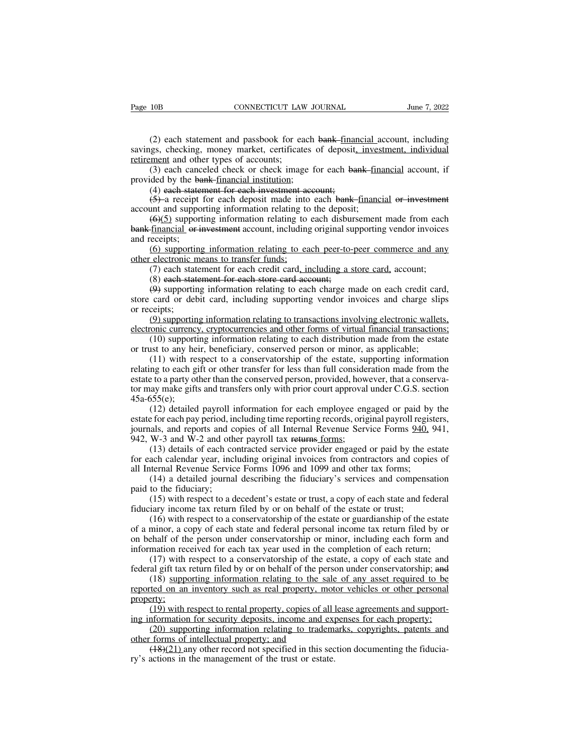(2) each statement and passbook for each bank financial account, including<br>(2) each statement and passbook for each bank financial account, including<br>ggs, checking, money market, certificates of deposit<u>, investment, indiv</u> Page 10B CONNECTICUT LAW JOURNAL June 7, 2022<br>
(2) each statement and passbook for each bank-financial account, including<br>
savings, checking, money market, certificates of deposit<u>, investment, individual</u><br>
retirement and Page 10B CONNECTICUT LAW<br>
(2) each statement and passbook for ea<br>
savings, checking, money market, certificate<br>
<u>retirement</u> and other types of accounts;<br>
(3) each canceled check or check image<br>
provided by the bank-financ (2) each statement and passbook for each bank-financial account, including<br>(2) each statement and passbook for each bank-financial account, including<br>ggs, checking, money market, certificates of deposit<u>, investment, indiv</u> (2) each statement and passbook for each<br>savings, checking, money market, certificates (<br><u>retirement</u> and other types of accounts;<br>(3) each canceled check or check image for<br>provided by the bank-financial institution;<br>(4) (2) each statement and passbook for each bank-finangs, checking, money market, certificates of deposit<u>, ment</u> and other types of accounts;<br>(3) each canceled check or check image for each banded by the bank-financial inst (2) each statement and passbook for each bank-financial account, including<br>gs, checking, money market, certificates of deposit<u>, investment, individual<br>ment</u> and other types of accounts;<br>(3) each canceled check or check i (2) each statement and passbook for each bank-<u>financial</u> as<br>savings, checking, money market, certificates of deposit<u>, inves</u><br>retirement and other types of accounts;<br>(3) each canceled check or check image for each bank-f

(6)(5) supporting information relating to each bank-financial account, if<br>
(3) each canceled check or check image for each bank-<u>financial</u> account, if<br>
(4) each statement for each investment account;<br>
(5)-a receipt for e Formulation and other types of accounts,<br>
(3) each canceled check or check image for each bank-financial account, if<br>
provided by the bank-financial institution;<br>
(4) each statement for each investment account;<br>
(5)-a rec provided by the ba<br>  $(4)$  each state<br>  $(5)$ -a receipt<br>
account and support<br>  $(6)(5)$  support<br>
bank-financial or in<br>
and receipts;<br>  $(6)$  supporting<br>
other electronic me (4) each statement for each investment account;<br>
(4) each statement for each investment account;<br>
(5)-a receipt for each deposit made into each bank-financial or investment<br>
unt and supporting information relating to each (4) each statement for each investment ac<br>  $(5)$ -a receipt for each deposit made into<br>
account and supporting information relating to<br>  $(6)(5)$  supporting information relating to<br>
bank-financial or investment account, incl (3) a fector of each deposit made mot card wank manted of investment<br>time and supporting information relating to the deposit;<br> $(6)(5)$  supporting information relating to each disbursement made from each<br>receipts;<br> $(6)$  sup  $(6)(5)$  supporting information relating to the deposite  $(6)(5)$  supporting information relating to each disbur-<br>financial or investment account, including original survecipts;<br>(6) supporting information relating to each p

( $\overline{\text{eq}}$ ) supporting information relating to each disolarisment made from each financial or investment account, including original supporting vendor invoices eceipts;<br>(6) supporting information relating to each peer-to bank Infinited or Investment account, including original supporting vendor invoices<br>and receipts;<br>(6) supporting information relating to each peer-to-peer commerce and any<br>other electronic means to transfer funds;<br>(7) eac did receipts;<br>
(6) supportin<br>
other electronic n<br>
(7) each stat<br>
(8) each stat<br>
(9) supportin<br>
store card or del<br>
or receipts;<br>
(9) supportin<br>
electronic currency (b) supporting information relating to each peer-to-peer commerce and any electronic means to transfer funds;<br>
(7) each statement for each credit card, including a store card, account;<br>
(8) each statement for each store ea (7) each statement for each credit card, including a store card, account;<br>
(8) each statement for each store card account;<br>
(9) supporting information relating to each charge made on each credit card,<br>
store card or debit (1) cach statement for each etcan card, *including a stoce card*, account, (8) each statement for each store eard account;<br>(9) supporting information relating to each charge made on each credit card, card or debit card, i (b) each statement for each store card account,<br>  $(\Theta)$  supporting information relating to each charge made on each credit card<br>
store card or debit card, including supporting vendor invoices and charge slip<br>
or receipts;<br>

(a) supporting information relating to each entarge made on each electric eart, card, card or debit card, including supporting vendor invoices and charge slips ceipts;<br>(9) supporting information relating to transactions in Frequency of the estate or transfer for less than full considerations involving electronic wallets, electronic currency, cryptocurrencies and other forms of virtual financial transactions: (10) supporting information relat (9) supporting information relating to transactions involving electronic wallets,<br>electronic currency, cryptocurrencies and other forms of virtual financial transactions;<br>(10) supporting information relating to each distr (2) supporting information relating to transferrom moving electromic wantes,<br>electronic currency, cryptocurrencies and other forms of virtual financial transactions;<br>(10) supporting information relating to each distributi 45a-655(e); (10) supporting information relating to each distribution made from the estate<br>ist to any heir, beneficiary, conserved person or minor, as applicable;<br>(11) with respect to a conservatorship of the estate, supporting infor (11) with respect to a conservatorship of the estate, supporting information relating to each gift or other transfer for less than full consideration made from the estate to a party other than the conserved person, provid (11) what respect to a conservatorship of the estate, supporting information<br>relating to each gift or other transfer for less than full consideration made from the<br>estate to a party other than the conserved person, provid

estate to a party other han the conserved person, provided, how<br>tor may make gifts and transfers only with prior court approval<br>45a-655(e);<br>(12) detailed payroll information for each employee eng<br>estate for each pay period (12) detailed payroll information for each employee engaged or paid by the foreach payroll information for each employee engaged or paid by the foreach pay period, including time reporting records, original payroll registe for may make gits and transiers omy with prior court approvar under  $C.6.3$ . section 45a-655(e);<br>
(12) detailed payroll information for each employee engaged or paid by the estate for each pay period, including time repor 45a-055(c),<br>
(12) detailed payroll information for each employee engaged or paid by<br>
estate for each pay period, including time reporting records, original payroll regist<br>
journals, and reports and copies of all Internal (12) detailed payron information for each employee engaged or paid by the for each pay period, including time reporting records, original payroll registers, als, and reports and copies of all Internal Revenue Service Form

Exact for each pay perfod, in<br>journals, and reports and c<br>942, W-3 and W-2 and oth<br>(13) details of each co<br>for each calendar year, incl<br>all Internal Revenue Servic<br>(14) a detailed journa<br>paid to the fiduciary;<br>(15) with r (13) details of each contracted service provider to a distributed service Forms  $\frac{1}{20}$ ,  $\frac{1}{21}$ , W-3 and W-2 and other payroll tax returns forms;<br>(13) details of each contracted service provider engaged or paid by (13) details of each contracted service provider engaged or paid by the for each calendar year, including original invoices from contractors and cop all Internal Revenue Service Forms 1096 and 1099 and other tax forms;<br>(1

(15) dealis of each contracted service provider engaged of paid by the estate<br>ach calendar year, including original invoices from contractors and copies of<br>ternal Revenue Service Forms 1096 and 1099 and other tax forms;<br>(1 of cach calculated year, including original invoices from contractors and copies of all Internal Revenue Service Forms 1096 and 1099 and other tax forms;<br>
(14) a detailed journal describing the fiduciary's services and com an internal Revente Service Forms 1090 and 1099 and other tax forms,<br>
(14) a detailed journal describing the fiduciary's services and compensation<br>
paid to the fiduciary;<br>
(15) with respect to a decedent's estate or trust, (14) a detailed journal describing the inductary s services and compensation<br>paid to the fiduciary;<br>(15) with respect to a decedent's estate or trust, a copy of each state and federal<br>fiduciary income tax return filed by (15) with respect to a decedent's estate or trust, a copy of each state and federal<br>iary income tax return filed by or on behalf of the estate or trust;<br>(16) with respect to a conservatorship of the estate or guardianship (15) with respect to a decedent s estate of trust, a copy of each state and rederal<br>fiduciary income tax return filed by or on behalf of the estate or trust;<br>(16) with respect to a conservatorship of the estate or guardia (16) with respect to a conservatorship of the estate or guardianship of the estate<br>minor, a copy of each state and federal personal income tax return filed by or<br>ehalf of the person under conservatorship or minor, includin (10) what respect to a conservatorship of the estate of guardianship of the estate<br>of a minor, a copy of each state and federal personal income tax return filed by or<br>on behalf of the person under conservatorship or minor

property; mation received for each tax year used in the completion of each return;<br>(17) with respect to a conservatorship of the estate, a copy of each state and<br>al gift tax return filed by or on behalf of the person under conservat information fectived for each tax year used in the completion of each return,<br>
(17) with respect to a conservatorship of the estate, a copy of each state and<br>
federal gift tax return filed by or on behalf of the person und (17) what respect to a conservatorship of the estate, a copy of each state and<br>al gift tax return filed by or on behalf of the person under conservatorship; and<br>(18) supporting information relating to the sale of any asse (18) supporting information relating to the perfect (18) supporting information relating to the same<br>reported on an inventory such as real property, more reported on an inventory such as real property, more property;<br>(19) (18) supporting information relating to the sate of any asset required to be<br>ted on an inventory such as real property, motor vehicles or other personal<br>erty:<br>(19) with respect to rental property, copies of all lease agre

reported on an inventory such as ican property, mode<br>property;<br>(19) with respect to rental property, copies of all<br>ing information for security deposits, income and ex<br>(20) supporting information relating to tradem-<br>other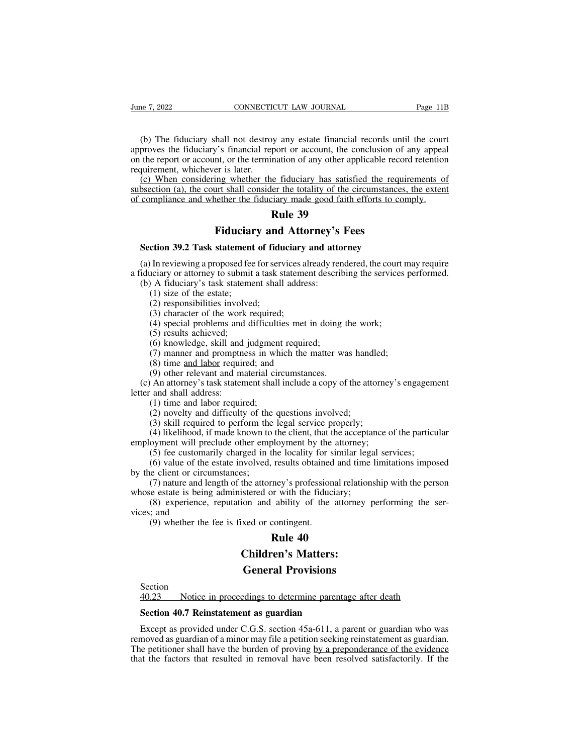(b) The fiduciary shall not destroy any estate financial records until the court<br>proves the fiduciary's financial report or account, the conclusion of any appeal<br>the report or account, or the termination of any other appli From the fiduciary shall not destroy any estate financial records until the court<br>
approves the fiduciary's financial report or account, the conclusion of any appeal<br>
on the report or account, or the termination of any oth June 7, 2022 CONNECTICUT LAW JOURNAL Page 11B<br>
(b) The fiduciary shall not destroy any estate financial records until the court<br>
approves the fiduciary's financial report or account, the conclusion of any appeal<br>
on the re Frame 7, 2022<br>
CONNECTION<br>
(b) The fiduciary shall not destroy<br>
approves the fiduciary's financial repon<br>
the report or account, or the terminified<br>
requirement, whichever is later.<br>
(c) When considering whether the<br>
subse (b) The fiduciary shall not destroy any estate financial records until the court<br>proves the fiduciary's financial report or account, the conclusion of any appeal<br>the report or account, or the termination of any other appli (b) The fiduciary shall not destroy any estate financial records until the court approves the fiduciary's financial report or account, the conclusion of any appeal on the report or account, or the termination of any other (b) The fiduciary shall not destroy any estate financial records until the courrapproves the fiduciary's financial report or account, the conclusion of any appeal<br>on the report or account, or the termination of any other a by any estate financial<br>port or account, the contrained port or account, the contrained portion<br>increase the totality of the city and the contrained portion<br>**Rule 39**<br>**Rule 39** 

Figure 1.1 Strainage Tender Strandard Tender Strandard Tender Strandard Tender in the termination of any other applicable record of the circumstances of the fiduciary made good faith efforts to contract the fiduciary made (c) When considering whether the fiduciary has satisfied the required<br>bsection (a), the court shall consider the totality of the circumstances<br>compliance and whether the fiduciary made good faith efforts to co<br>**Rule 39**<br>**F** 

(a) In reviewing a proposed fee for services already rendered, the court may require<br>
(a) In reviewing a proposed fee for services already rendered, the court may require<br>
(a) In reviewing a proposed fee for services alrea **2 Fiduciary and Attorney's Fees**<br>**Section 39.2 Task statement of fiduciary and attorney**<br>(a) In reviewing a proposed fee for services already rendered, the court may require<br>a fiduciary or attorney to submit a task statem **Example 199**<br> **Example 199**<br> **Example 199**<br> **Example 1999**<br> **Example 1999**<br> **Example 1999**<br>
(a) In reviewing a proposed fee for services already reriduciary or attorney to submit a task statement describility<br>
(b) A fiduc **Fiduciar**<br>
ction 39.2 Task statement<br>
In reviewing a proposed fee<br>
uciary or attorney to submit<br>
(A) A fiduciary's task stateme<br>
(1) size of the estate;<br>
(2) responsibilities involved<br>
(3) character of the work re (2) **2012 CONCRETE 2013**<br>
In reviewing a proposed fee for serveral proposed fee for serveral<br>
In reviewing a proposed fee for serveral<br>
In a task s<br>
A fiduciary's task statement shall<br>
(1) size of the estate;<br>
(2) respon **ction 39.2 Task statement of fiduciary**<br>In reviewing a proposed fee for services a<br>liciary or attorney to submit a task stateme<br>A fiduciary's task statement shall addre<br>(1) size of the estate;<br>(2) responsibilities involv In reviewing a proposed fee for services already rendered, the court inciary or attorney to submit a task statement describing the services<br>
(A) size of the estate;<br>
(2) responsibilities involved;<br>
(3) character of the wor Infericulture a proposed resultion<br>(1) A fiduciary's task statem<br>(1) size of the estate;<br>(2) responsibilities involve<br>(3) character of the work i<br>(4) special problems and d<br>(5) results achieved;<br>(6) knowledge, skill and ju

(A) cluster in a task statement described in A fiduciary's task statement shall address:<br>(1) size of the estate;<br>(2) responsibilities involved;<br>(3) character of the work required;<br>(4) special problems and difficulties met

(1) size of the estate;<br>
(2) responsibilities involved;<br>
(3) character of the work required;<br>
(3) character of the work required;<br>
(4) special problems and difficulties met in doing the work;<br>
(5) results achieved;<br>
(6) k

(2) size of the estate,<br>
(2) responsibilities involved;<br>
(3) character of the work required;<br>
(4) special problems and difficulties met in<br>
(5) results achieved;<br>
(6) knowledge, skill and judgment required<br>
(7) manner and (2) constraints involved,<br>
(3) character of the work required;<br>
(4) special problems and difficulties met in doing t<br>
(5) results achieved;<br>
(6) knowledge, skill and judgment required;<br>
(7) manner and promptness in which (3) Character of the work required,<br>
(4) special problems and difficulties met in doing the work;<br>
(5) results achieved;<br>
(6) knowledge, skill and judgment required;<br>
(7) manner and promptness in which the matter was hand (4) special problems and<br>
(5) results achieved;<br>
(6) knowledge, skill and<br>
(7) manner and promptine<br>
(8) time <u>and labor</u> require<br>
(9) other relevant and man (c) An attorney's task staten<br>
letter and shall address:<br>
(1) t (5) results achieved,<br>
(6) knowledge, skill and judgment<br>
(7) manner and promptness in wh<br>
(8) time <u>and labor</u> required; and<br>
(9) other relevant and material circless<br>
and shall address:<br>
(1) time and labor required;<br>
(2 (3) Knowledge, skill and Judginent required,<br>
(7) manner and promptness in which the matter was hand<br>
(8) time <u>and labor</u> required; and<br>
(9) other relevant and material circumstances.<br>
An attorney's task statement shall (*i*) manner and prompiness in winch the matter was nandied.<br>
(8) time <u>and labor</u> required; and<br>
(9) other relevant and material circumstances.<br>
An attorney's task statement shall include a copy of the attorne<br>
and shall (9) the *exampled* in comparison in the client of the accept of the attorney's engagement<br>
(9) other relevant and material circumstances.<br>
An attorney's task statement shall include a copy of the attorney's engagement<br>
(a (b) once recevant and material encurristances.<br>
(c) An attorney's task statement shall include a copy of the attorney<br>
letter and shall address:<br>
(1) time and labor required;<br>
(2) novelty and difficulty of the questions in

Far adolney's task statement shart include a copy of the adolney's engagement and shall address:<br>
(1) time and labor required;<br>
(2) novelty and difficulty of the questions involved;<br>
(3) skill required to perform the legal (1) time and labor required;<br>
(2) novelty and difficulty of the questions involved;<br>
(3) skill required to perform the legal service properly;<br>
(4) likelihood, if made known to the client, that the acceptance of the partic (1) the and factor required,<br>
(2) novelty and difficulty of the<br>
(3) skill required to perform the<br>
(4) likelihood, if made known to<br>
employment will preclude other emp<br>
(5) fee customarily charged in t<br>
(6) value of the (2) novely and difficulty of the questions involved,<br>
(3) skill required to perform the legal service properly;<br>
(4) likelihood, if made known to the client, that the acceptance of the particular<br>
oyment will preclude oth (3) SKIN required to perform the regar service property,<br>
(4) likelihood, if made known to the client, that the acceptaremployment will preclude other employment by the attorney;<br>
(5) fee customarily charged in the locali (4) INCHINOOD, IT finally known to the client, that the acceptance of the particular<br>oyment will preclude other employment by the attorney;<br>(5) fee customarily charged in the locality for similar legal services;<br>(6) value (5) fee customan<br>
(6) value of the<br>
by the client or circu<br>
(7) nature and les<br>
whose estate is being<br>
(8) experience,<br>
vices; and<br>
(9) whether the (9) ree customally charged in the locality for s<br>(6) value of the estate involved, results obtained<br>e client or circumstances;<br>(7) nature and length of the attorney's profession<br>e estate is being administered or with the Increase the seality of similar<br>
results obtained and timely's professional relat<br>
results of the attorne<br>
resultive of the attorne<br>
contingent.<br> **Rule 40**<br> **Rule 40**<br> **Rule 10**<br> **Rule 10**<br> **Rule 10** 

Frame Solution: The attorney's professional relation<br>
istered or with the fiduciary;<br>
ion and ability of the attorney p<br>
ixed or contingent.<br> **Rule 40**<br> **Children's Matters:**<br> **General Provisions** 

Stered or with the fiduciary;<br>
on and ability of the attorney poxed or contingent.<br> **Rule 40**<br> **Children's Matters:**<br> **General Provisions**<br>
Edings to determine parentage after

Section<br>40.23 Notice in proceedings to determine parentage after death **20.43** Children's Matters:<br> **20.23** Notice in proceedings to determine parentage after death<br> **20.23** Notice in proceedings to determine parentage after death<br> **20.23** Section 40.7 Reinstatement as guardian

**Children's Matters:**<br> **Section**<br>
40.23 Notice in proceedings to determine parentage<br>
Section 40.7 Reinstatement as guardian<br>
Except as provided under C.G.S. section 45a-611, a particle as provided under C.G.S. section 45a **Example 18 Section**<br> **Except as provided under C.G.S. section 45a-611**, a parent or guardian who was<br> **Except as provided under C.G.S. section 45a-611**, a parent or guardian who was<br>
moved as guardian of a minor may file **EXECUTE AS FIGURES CONCRETED ASSET SECTOR ACT SECTOR ACT SECTOR ACT SECTOR SECTOR SECTOR SECTOR SECTOR SECTOR EXCEPT AS provided under C.G.S.** section 45a-611, a parent or guardian who was removed as guardian of a minor m Section<br>
40.23 Notice in proceedings to determine parentage after death<br>
Section 40.7 Reinstatement as guardian<br>
Except as provided under C.G.S. section 45a-611, a parent or guardian who was<br>
removed as guardian of a minor Section 40.7 Reinstatement as guardian<br>Except as provided under C.G.S. section 45a-611, a parent or guardian who was<br>removed as guardian of a minor may file a petition seeking reinstatement as guardian.<br>The petitioner shal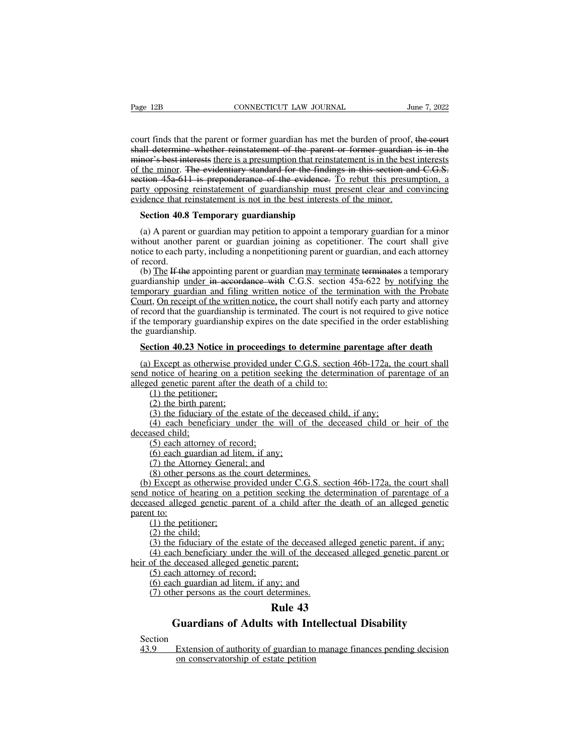Page 12B<br>
connecticular LAW JOURNAL<br>
court finds that the parent or former guardian has met the burden of proof, the court<br>
shall determine whether reinstatement of the parent or former guardian is in the<br>
minor's best int Page 12B CONNECTICUT LAW JOURNAL June 7, 2022<br>
court finds that the parent or former guardian has met the burden of proof, the court<br>
shall determine whether reinstatement of the parent or former guardian is in the<br>
minor' Page 12B CONNECTICUT LAW JOURNAL June 7, 2022<br>
court finds that the parent or former guardian has met the burden of proof, the court<br>
shall determine whether reinstatement of the parent or former guardian is in the<br>
minor' Page 12B CONNECTICUT LAW JOURNAL June 7, 2022<br>
court finds that the parent or former guardian has met the burden of proof, the court<br>
shall determine whether reinstatement of the parent or former guardian is in the<br>
minor' section 45a-611 is preponderance of the bard must present or former guardian is in the evident-<br>shall determine whether reinstatement of the parent or former guardian is in the<br>minor's best interests there is a presumption court finds that the parent or former guardian has met the burden of proof, the court<br>shall determine whether reinstatement of the parent or former guardian is in the<br>minor's best interests there is a presumption that rein court finds that the parent or former guardian has met the burden of proof, shall determine whether reinstatement of the parent or former guardian minor's best interests there is a presumption that reinstatement is in the all determine whether reinstatement of the parent of<br>nor's best interests there is a presumption that reinstat<br>the minor. The evidentiary standard for the findings<br>tion 45a-611 is preponderance of the evidence. To<br>rty oppo (a) the minor. The evidentiary standard for the findings in this section and C.G.S.<br>tion 45a 611 is preponderance of the evidence. To rebut this presumption, a<br>rty opposing reinstatement of guardianship must present clear

section 45a-611 is preponderance of the evidence. To rebut this presumption, a<br>party opposing reinstatement of guardianship must present clear and convincing<br>evidence that reinstatement is not in the best interests of the party opposing reinstatement of guardianship must present clear and convincing<br>evidence that reinstatement is not in the best interests of the minor.<br>Section 40.8 Temporary guardianship<br>(a) A parent or guardian may petitio Exidence that respect<br>Section 40.8<br>(a) A parent contraction<br>without another notice to each p<br>of record.<br>(b) The If the guardianship units (a) A parent or guardianship<br>(a) A parent or guardian may petition to appoint a temporary guardian for a minor<br>thout another parent or guardian joining as copetitioner. The court shall give<br>tice to each party, including a

**Section 40.8 Temporary guardianship**<br>
(a) A parent or guardian may petition to appoint a temporary guardian for a minor<br>
without another parent or guardian joining as copetitioner. The court shall give<br>
notice to each pa (a) A parent or guardian may petition to appoint a temporary guardian for a minor without another parent or guardian joining as copetitioner. The court shall give notice to each party, including a nonpetitioning parent or (a) A partin or guardian inay petrition to appoint a temporary guardian for a filmor without another parent or guardian joining as copetitioner. The court shall give notice to each party, including a nonpetitioning parent without aholici patch of guardian joining as coperation. The court shall give<br>notice to each party, including a nonpetitioning parent or guardian, and each attorney<br>of record.<br>(b) The H the appointing parent or guardian m if the temporary including a nonpetrioning parent or guardian, and each attorncy<br>of record.<br>(b) The If the appointing parent or guardian may terminate terminates a temporary<br>guardianship <u>under in accordance</u> with C.G.S. s (b) The If the appoin<br>guardianship under in<br>temporary guardian an<br>Court, On receipt of the<br>of record that the guard<br>if the temporary guardi<br>the guardianship.<br>Section 40.23 Notic ardianship under in accordance with C.G.S. section 45a-622 by notifying the<br>nporary guardian and filing written notice of the termination with the Probate<br>ourt, On receipt of the written notice, the court shall notify each burt, On receipt of the written notice, the court shall notify each party and attorney<br>record that the guardianship is terminated. The court is not required to give notice<br>the temporary guardianship expires on the date spe of record that the guardianship is terminated. The court is not required to give notice<br>if the temporary guardianship expires on the date specified in the order establishing<br>the guardianship.<br>**Section 40.23 Notice in proc** 

if the temporary guardianship expires on the date specifies<br>the guardianship.<br>**Section 40.23 Notice in proceedings to determine pa**<br>(a) Except as otherwise provided under C.G.S. section<br>send notice of hearing on a petition (1) the periodic state in periodic in periodic in periodic periodic periodic periodic state periodic (1) the petitioner;<br>(2) the petitioner;<br>(2) the birth parent;<br>(3) the fiduciary of the (2) the birth parameters in provide in provide of hearing on a pearl genetic parent after the (1) the petitioner;<br>(2) the birth parent;<br>(3) the fiduciary of the es (4) each beneficiary und Section 40.23 Notice in proceedings to determine parentage after death<br>
(a) Except as otherwise provided under C.G.S. section 46b-172a, the court shall<br>
send notice of hearing on a petition seeking the determination of pa (4) Except as otherwise provided under C.G.S. section 46b-172a, the court shall<br>notice of hearing on a petition seeking the determination of parentage of an<br>ed genetic parent after the death of a child to:<br>(1) the petition  $\frac{dA}{dt}$  and notice of hearin<br>send notice of hearin<br>alleged genetic paren<br>(1) the petitioner<br>(2) the birth pare<br>(3) the fiduciary<br>(4) each benefic<br>deceased child;<br>(5) each attorney<br>(6) each guardia

Fronte of healing on a perfiorm<br>
ed genetic parent after the death of<br>
(1) the petitioner;<br>
(2) the birth parent;<br>
(3) the fiduciary of the estate of t<br>
(4) each beneficiary under the sased child;<br>
(5) each attorney of rec (1) the petitioner;<br>(2) the birth parent;<br>(2) the birth parent;<br>(3) the fiduciary of the estate of the dece<br>(4) each beneficiary under the will of<br>ssed child;<br>(5) each attorney of record;<br>(6) each guardian ad litem, if an (2) the birth parent;<br>
(2) the birth parent;<br>
(3) the fiduciary of the estate of the dece<br>
(4) each beneficiary under the will of<br>
seed child;<br>
(5) each attorney of record;<br>
(6) each guardian ad litem, if any;<br>
(7) the At

(3) the fiduciary of the estate of the deceased  $(4)$  each beneficiary under the will of the d<br>ssed child;<br>(5) each attorney of record;<br>(6) each guardian ad litem, if any;<br>(7) the Attorney General; and<br>(8) other persons a (b) the hadded value of the deceased child, if any,<br>
(4) each beneficiary under the will of the deceased child or heir of the<br>
ceased child;<br>
(5) each attorney of record;<br>
(6) each guardian ad litem, if any;<br>
(7) the Atto send ontinerally under the win of the determined of her of the<br>deceased child:<br>(5) each attorney of record;<br>(6) each guardian ad litem, if any;<br>(7) the Attorney General; and<br>(8) other persons as the court determines.<br>(b) E (5) each attorney of record;<br>
(6) each guardian ad litem, if any;<br>
(7) the Attorney General; and<br>
(8) other persons as the court determines.<br>
(b) Except as otherwise provided under C.G.S. section 46b-172a, the court shall (b) each g<br>
(b) each g<br>
(d) other p<br>
(d) Except as<br>
send notice of<br>
deceased allege<br>
parent to:<br>
(1) the peti<br>
(2) the child (b) each guardian ad mother<br>(7) the Attorney Genera<br>(8) other persons as the<br>level is otherwise protice of hearing on a<br>notice of hearing on a<br>ssed alleged genetic pa<br>(1) the petitioner;<br>(2) the child;<br>(3) the fiduciary o (*i*) the Attorney Go<br>(8) other persons as<br> $\frac{1}{2}$  Except as otherwise<br>notice of hearing of<br>notice of hearing of<br> $\frac{1}{2}$  to:<br>(1) the petitioner;<br>(2) the child;<br>(3) the fiduciary of<br>(4) each beneficiar; (3) once persons as the court determines.<br>
Except as otherwise provided under C.G.S. section 46b-172a, the court shall<br>
notice of hearing on a petition seeking the determination of parentage of a<br>
seed alleged genetic par (4) each beneficiary under the deceased alleged genetic parent of the deceased alleged genetic parent of a child after the death of an alleged genetic it to:<br>
(1) the petitioner;<br>
(2) the child;<br>
(3) the fiduciary of the Schub notice of healing on a petition seeking the<br>deceased alleged genetic parent of a child after<br>parent to:<br>(1) the petitioner;<br>(2) the child;<br>(3) the fiduciary of the estate of the deceased<br>(4) each beneficiary under th

(1) the petitioner;<br>(2) the child;<br>(2) the child;<br>(3) the fiduciary of the estate of t<br>(4) each beneficiary under the wive<br>of the deceased alleged genetic pa<br>(5) each attorney of record;<br>(6) each guardian ad litem, if any<br> (1) the petitioner;<br>(2) the child;<br>(3) the fiduciary of the estate of the deceased alle<br>(4) each beneficiary under the will of the decease<br>of the deceased alleged genetic parent;<br>(5) each attorney of record;<br>(6) each guar (2) the child;<br>(3) the fiduciary of the estate of the deceased a<br>(4) each beneficiary under the will of the dece<br>of the deceased alleged genetic parent;<br>(5) each attorney of record;<br>(6) each guardian ad litem, if any; and f the deceased alleged<br>will of the deceased all<br>parent;<br>ny; and<br>etermines.<br>**Rule 43**<br>**with Intellectual** Extension of the estate of the deceased alleged genetic parent, if any;<br>
ch beneficiary under the will of the deceased alleged genetic parent or<br>
deceased alleged genetic parent;<br>
ch attorney of record;<br>
ch guardian ad lit

Section<br>43.9 Extension of authority of guardian to manage finances pending decision 43.9 Extension of authority of guardian to manage finances pending decision<br>  $\frac{43.9}{43}$  Extension of authority of guardian to manage finances pending decision<br>
on conservatorship of estate petition (7) other persons as the court determines.<br> **Rule 43**<br> **Cuardians of Adults with Intellectual Disability**<br>
<u>Cuardians</u> of Adults with Intellectual Disability<br>
<u>On Extension of authority of guardian to manage finances pendi</u>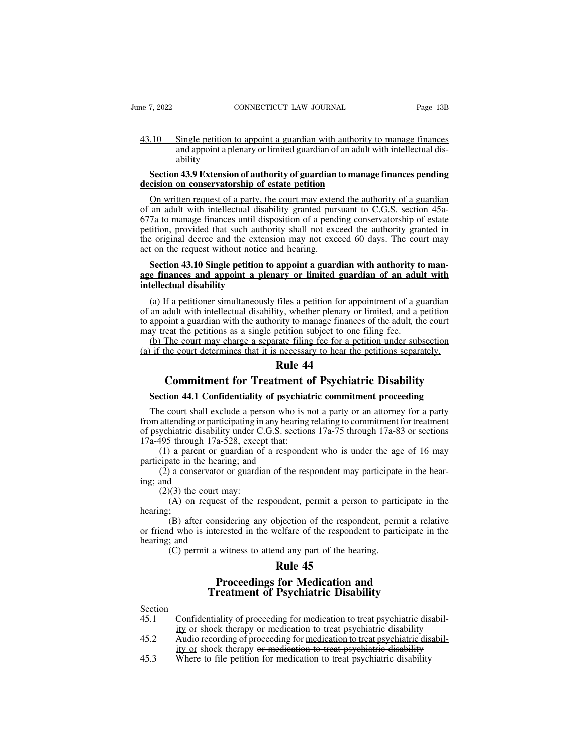e 7, 2022<br>
CONNECTICUT LAW JOURNAL<br>
43.10 Single petition to appoint a guardian with authority to manage finances<br>
and appoint a plenary or limited guardian of an adult with intellectual dis-<br>
ability connecticut LAW JOURNAL Page 13B<br>
Single petition to appoint a guardian with authority to manage finances<br>
and appoint a plenary or limited guardian of an adult with intellectual dis-<br>
and a Extension of authority of guard ability Fraction 43.9 Extension of authority of guardian with authority to manage finances<br>
and appoint a plenary or limited guardian of an adult with intellectual dis-<br>
ability<br> **Section 43.9 Extension of authority of guardian to** 43.10 Single petition to appoint a guardian with authority<br>and appoint a plenary or limited guardian of an adult<br>ability<br>**Section 43.9 Extension of authority of guardian to managements**<br>**On written request of a party, the** 

on Single petition to appoint a guardian with authority to manage finances<br>and appoint a plenary or limited guardian of an adult with intellectual dis-<br>ability<br>Section 43.9 Extension of authority of guardian to manage fina For a single petition to appoint a guardian with additionly to handge mances<br>and appoint a plenary or limited guardian of an adult with intellectual dis-<br>ability<br>**Section 43.9 Extension of authority of guardian to manage f** 677a to manage finances until disposition of a pending decision on conservatorship of estate petition<br>
on written request of a party, the court may extend the authority of a guardian<br>
of an adult with intellectual disabili section 43.9 Extension of authority of guardian to manage finances pending<br>decision on conservatorship of estate petition<br>On written request of a party, the court may extend the authority of a guardian<br>of an adult with int Section 43.9 Extension of authority of guardian to manage finances pending<br>decision on conservatorship of estate petition<br>On written request of a party, the court may extend the authority of a guardian<br>of an adult with int decision on conservatorship of estate petition<br>On written request of a party, the court may exten<br>of an adult with intellectual disability granted purs<br>677a to manage finances until disposition of a pend<br>petition, provided On written request of a party, the court may extend the authority of a guardian<br>an adult with intellectual disability granted pursuant to C.G.S. section 45a-<br>7a to manage finances until disposition of a pending conservator of an adult with intellectual disability granted pursuant to C.G.S. section 45a-<br>677a to manage finances until disposition of a pending conservatorship of estate<br>petition, provided that such authority shall not exceed the 677a to manage finances until disposition of a pending conservatorship of estate<br>petition, provided that such authority shall not exceed the authority granted in<br>the original decree and the extension may not exceed 60 days

(a) If a periginal decree and the extension may not exceed 60 days. The court may<br>t on the request without notice and hearing.<br>Section 43.10 Single petition to appoint a guardian with authority to man-<br>e finances and appoi and the request without notice and hearing.<br>
Section 43.10 Single petition to appoint a guardian with authority to man-<br>
age finances and appoint a plenary or limited guardian of an adult with<br>
intellectual disability<br>
(a) Section 43.10 Single petition to appoint a guardian with authority to man-<br>age finances and appoint a plenary or limited guardian of an adult with<br>intellectual disability<br>(a) If a petitioner simultaneously files a petition Section 43.10 Single petition to appoint a guardian with authority to age finances and appoint a plenary or limited guardian of an adul intellectual disability<br>(a) If a petitioner simultaneously files a petition for appoi (a) If a petitioner simultaneously files a petition for appointment of a guardian<br>
(a) If a petitioner simultaneously files a petition for appointment of a guardian<br>
an adult with intellectual disability, whether plenary intellectual disability<br>
(a) If a petitioner simultaneously files a petition for appointment of a guardian<br>
of an adult with intellectual disability, whether plenary or limited, and a petition<br>
to appoint a guardian with t files a petition for apportively, whether plenary or<br>
rity to manage finances<br>
petition subject to one 1<br>
rate filing fee for a petition<br> **Rule 44**<br> **Rule 44**<br> **Rule 44**<br> **Rule 44** If a petitioner simultaneously files a petition for appointment of a guardian<br>
adult with intellectual disability, whether plenary or limited, and a petition<br>
oint a guardian with the authority to manage finances of the ad

**Solution:** It is a single petition subject to one filing fee.<br>
(b) The court may charge a separate filing fee for a petition under subsection<br>
if the court determines that it is necessary to hear the petitions separately.

The court may enarge a separate rung ree for a permon under subsection<br>if the court determines that it is necessary to hear the petitions separately.<br>**Rule 44**<br>Commitment for Treatment of Psychiatric Disability<br>Section 44 **From attenuous and it is necessary to near are periodis separately.**<br> **Rule 44**<br> **Commitment for Treatment of Psychiatric Disability**<br>
Section 44.1 Confidentiality of psychiatric commitment proceeding<br>
The court shall exc **EXECUTE: Reference 144**<br> **Commitment for Treatment of Psychiatric Disability**<br>
Section 44.1 Confidentiality of psychiatric commitment proceeding<br>
The court shall exclude a person who is not a party or an attorney for a **Commitment for Treatment o**<br>**Section 44.1 Confidentiality of psychiat**<br>The court shall exclude a person who is n<br>from attending or participating in any hearing of<br>psychiatric disability under C.G.S. section<br>17a-495 throug **COMMET CONSTREET CONSTREET CONSTREET AT CONSTREENT CONSTREENT AT CONSTREENT AND AT CONSTREENT AND A PARTY AT A PATH AND SURVEY SURVEY AT A party or an attorney for a party attending or participating in any hearing relati Section 44.1 Confidentiality of psych**<br>The court shall exclude a person who if<br>from attending or participating in any hearing of psychiatric disability under C.G.S. sect<br>17a-495 through 17a-528, except that:<br>(1) a parent (2) a conservator or guardian of the respondent may participate in the hear-<br>(2) a participating in any hearing relating to commitment for treatment<br>ychiatric disability under C.G.S. sections 17a-75 through 17a-83 or sect The court share<br>from attending or pa<br>of psychiatric disab<br>17a-495 through 17<br>(1) a parent of<br>participate in the he<br>(2) a conservating; and<br>(2)(3) the court (A) on requ differentially of participating in<br>ychiatric disability under C.<br>495 through 17a-528, excep<br>(1) a parent <u>or guardian</u> of<br>cipate in the hearing;-and<br>(2) a conservator or guardia<br>and<br>(2)(3) the court may:<br>(A) on request of

The respondent of the respondent who is under the age of 16 may<br>
is through 17a-528, except that:<br>
a parent or guardian of a respondent who is under the age of 16 may<br>
ate in the hearing; and<br>
a conservator or guardian of

hearing;<br>(B) after considering any objection of the respondent, permit a relative

(B) a partial of a respondent who is under the age of 10 may<br>ate in the hearing; and<br>it are considering any considering approach as person to participate in the<br>example of the respondent, permit a person to participate in participate in the hearing,  $\frac{1}{2}$  (2) a conservator or guardian of the respondent may participate in the hearing;<br>
(A) on request of the respondent, permit a person to participate in the hearing;<br>
(B) after considerin  $\frac{(2)}{2}$  a conservator diag; and  $\frac{(2)}{2}$  the court ma<br>
(A) on request (A) on request (B) after consid<br>
or friend who is interes<br>
hearing; and (C) permit a wit (A) on request of the respondent, permit a person to particles<br>
(A) on request of the respondent, permit a person to particles<br>
(B) after considering any objection of the respondent, perm<br>
d who is interested in the welfa mediant, permit a person<br>
bjection of the responder<br>
relative of the responder<br> **Rule 45**<br> **Rule 45**<br> **Rule 45**<br> **Rule 45**<br> **Rule 45** quest of the respondent, permit a person to participate in<br>considering any objection of the respondent, permit a relationer<br>steed in the welfare of the respondent to participate in<br>t a witness to attend any part of the hea

- Section<br>45.1 Confidentiality of proceeding for <u>medication to treat psychiatric disabil-</u> (C) permit a withess to attend any part of the nearing.<br> **Rule 45**<br> **Proceedings for Medication and<br>
Treatment of Psychiatric Disability**<br>
Section<br>
45.1 Confidentiality of proceeding for <u>medication to treat psychiatric di</u> **EXECUTE:**<br> **EXECUTE:**<br> **EXECUTE:**<br> **EXECUTE:**<br> **EXECUTE:**<br> **EXECUTE:**<br> **EXECUTE:**<br> **EXECUTE:**<br> **EXECUTE:**<br> **EXECUTE:**<br> **EXECUTE:**<br> **EXECUTE:**<br> **EXECUTE:**<br> **EXECUTE:**<br> **EXECUTE:**<br> **EXECUTE:**<br> **EXECUTE:**<br> **EXECUTE:**<br> **EXECU Example 19 Audio recordings for Medication and<br>
Treatment of Psychiatric Disability<br>
45.1 Confidentiality of proceeding for <u>medication to treat psychiatric disabil-</u><br>
ity or shock therapy <del>or medication to treat psychiat**</del> **Proceedings for Medication and<br>Treatment of Psychiatric Disability**<br>Confidentiality of proceeding for <u>medication to treat psychiatric disabil-</u><br>ity or shock therapy or medication to treat psychiatric disability<br>Audio rec **Exament of Psychiatric Disability**<br>Section<br>45.1 Confidentiality of proceeding for <u>medication to treat psychiatric disability</u><br>45.2 Audio recording of proceeding for <u>medication to treat psychiatric dis</u><br>ity or shock ther
- 
-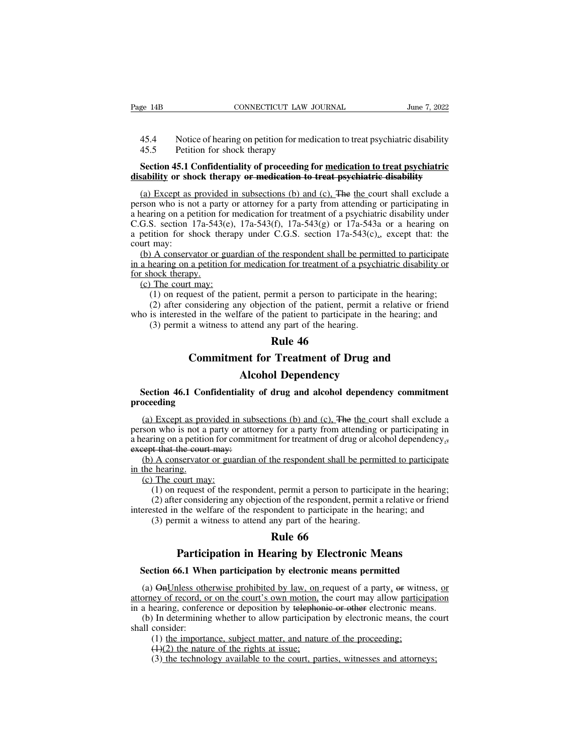- EXECUTE THE CONNECTICUT LAW JOURNAL June 7, 2022<br>
45.4 Notice of hearing on petition for medication to treat psychiatric disability<br>
45.5 Petition for shock therapy
- 

# Page 14B CONNECTICUT LAW JOURNAL June 7, 2022<br>45.4 Notice of hearing on petition for medication to treat psychiatric disability<br>45.5 Petition for shock therapy<br>**Section 45.1 Confidentiality of proceeding for medication to Section 45.4** Connectricurged Moderation 10 URNAL June 7, 2022<br>
45.4 Notice of hearing on petition for medication to treat psychiatric disability<br> **Section 45.1 Confidentiality of proceeding for <u>medication to treat psych**</u> **Example 1415** CONNECTICUT LAW JOURNAL June 1, 2022<br>
45.4 Notice of hearing on petition for medication to treat psychiatric disability<br>
45.5 Petition for shock therapy<br> **Section 45.1 Confidentiality of proceeding for medic**

45.4 Notice of hearing on petition for medication to treat psychiatric disability<br>45.5 Petition for shock therapy<br>**Section 45.1 Confidentiality of proceeding for <u>medication to treat psychiatric</u><br>sability or shock therapy** 45.4 Notice of hearing on petition for medication to treat psychiatric disability<br>45.5 Petition for shock therapy<br>**Section 45.1 Confidentiality of proceeding for medication to treat psychiatric**<br>disability or shock therap 45.5 Petition for shock therapy<br>Section 45.1 Confidentiality of proceeding for <u>medication to treat psychiatric</u><br>disability or shock therapy or medication to treat psychiatric disability<br>(a) Except as provided in subsecti Section 45.1 Confidentiality of proceeding for <u>medication to treat psychiatric</u><br>disability or shock therapy or medication to treat psychiatric disability<br>(a) Except as provided in subsections (b) and (c). The the court s Section 45.1 Confidentiality of proceeding for <u>medication to treat psychiatric</u><br>disability or shock therapy or medication to treat psychiatric disability<br>(a) Except as provided in subsections (b) and (c). The the court s (a) Except as provided in subsections (b) and (c), The the court shall exclude a person who is not a party or attorney for a party from attending or participating in a hearing on a petition for medication for treatment of (a) Except as provided in subsections (b) and (c). The the court shall exclude a rson who is not a party or attorney for a party from attending or participating in earing on a petition for medication for treatment of a ps (a) Except as provided in subsections (b) and (c), The life court shall exclude a<br>person who is not a party or attorney for a party from attending or participating in<br>a hearing on a petition for medication for treatment o a hearing on a petition for medication for treatment of a psychiatric disability under<br>C.G.S. section 17a-543(e), 17a-543(f), 17a-543(g) or 17a-543a or a hearing on<br>a petition for shock therapy under C.G.S. section 17a-54 C.G.S. section 17a-543(e), 17a-543(f), 17a-543(g) or 17a-543a or a hearing on<br>a petition for shock therapy under C.G.S. section 17a-543(c), except that: the<br>court may:<br>(b) A conservator or guardian of the respondent shall

(1) on request of the patient, permit a person to participate in the hearing on a permitted to participate nearing on a petition for medication for treatment of a psychiatric disability or hock therapy.<br>The court may:<br>(1) (2) a fluxed increases and the patient of the patient shall be permitted to participate nearing on a petition for medication for treatment of a psychiatric disability or hock therapy.<br>The court may:<br>(1) on request of the (b) A conservator or guardian of the respondent shall be permitted to participate<br>in a hearing on a petition for medication for treatment of a psychiatric disability or<br>for shock therapy.<br>(c) The court may:<br>(1) on request The consideration of medication for treatment of a psychonical permit a permit a person to participate (2) after considering any objection of the patient, permit a is interested in the welfare of the patient to participate **Rule 16**<br>**Rule 46**<br>**Rule 46**<br>**Rule 46**<br>**Rule 46**<br>**Rule 46**<br>**Rule 46** 

External times.<br>
<u>Considering</u> any objection of the patient, permit a relative or friend<br>
d in the welfare of the patient to participate in the hearing; and<br>
a witness to attend any part of the hearing.<br> **Rule 46**<br> **Commit** 

# Instruction, permit a person to participate in<br>the polyocition of the patient, permit a refare of the patient to participate in the l<br>attend any part of the hearing.<br>**Rule 46**<br>**Alcohol Dependency**<br>**Alcohol Dependency**<br>**Ali** (3) permit a witness to attend any part of the hearing.<br> **Section 46.1 Confidentiality of drug and alcohol dependency commitment**<br> **Section 46.1 Confidentiality of drug and alcohol dependency commitment**<br> **Section 46.1 Con proceeding**

(a) Except as provided in subsections (b) and (c), The the court shall exclude a<br>solution who is not a party or attorney for a party from attending or participating in<br>earing on a petition for commitment for treatment of d **Example 18 Section 46.1 Confidentiality of drug and alcohol dependency commitment**<br>proceeding<br>(a) Except as provided in subsections (b) and (c). The the court shall exclude a<br>person who is not a party or attorney for a p **a hearing on 46.1 Confidentiality of drug and alcohol dependency commitment proceeding**<br>(a) Except as provided in subsections (b) and (c). The the court shall exclude a person who is not a party or attorney for a party f Section 46.1 Confidentiality<br>proceeding<br>(a) Except as provided in sub<br>person who is not a party or atto<br>a hearing on a petition for commi<br>except that the court may:<br>(b) A conservator or guardian<br>in the hearing. Section 46.1 Confidentiality of drug and alcohol dependency commitment<br>oceeding<br>(a) Except as provided in subsections (b) and (c). The the court shall exclude a<br>son who is not a party or attorney for a party from attendin proceeding<br>
(a) Except as pro<br>
person who is not a<br>
a hearing on a petitic<br>
except that the cour<br>
(b) A conservator<br>
in the hearing.<br>
(c) The court ma<br>
(1) on request (a) Except as provided in<br>son who is not a party or<br>earing on a petition for covept that the court may:<br>(b) A conservator or guar<br>the hearing.<br>(c) The court may:<br>(1) on request of the re<br>(2) after considering an The responsible in subsections (b) and (c). The line court share better a<br>n who is not a party or attorney for a party from attending or participating in<br>ing on a petition for commitment for treatment of drug or alcohol d The approaches a party of a party is a party in the attending or participating in<br>that the court may:<br>A conservator or guardian of the respondent shall be permitted to participate<br>bearing.<br>The court may:<br>(1) on request of

Example in the court may:<br>
(b) A conservator or guardian of the respondent shall be permitted to participate<br>
in the hearing.<br>
(c) The court may:<br>
(1) on request of the respondent, permit a person to participate in the he (3) A conservator or guardian of the respondent shall be permi-<br>  $\frac{1}{2}$  hearing.<br>
The court may:<br>
(1) on request of the respondent, permit a person to participate<br>
(2) after considering any objection of the respondent, the respondent shall be<br>t, permit a person to pa<br>on of the respondent, pe<br>ondent to participate in<br>any part of the hearing.<br>**Rule 66**<br>aring by Electroni

**Participation**<br> **Participate in the hearing**<br> **Participate in the hearing**<br> **Participate in the welfare of the respondent to participate in the hearing; and<br>
mit a witness to attend any part of the hearing.<br>
<b>Rule 66**<br> **P** 

(2) and considering any objection of the respondent, permit a relative of include erested in the welfare of the respondent to participate in the hearing; and (3) permit a witness to attend any part of the hearing.<br>**Rule 66** 

(3) permit a witness to attend any part of the hearing.<br> **Rule 66**<br> **Participation in Hearing by Electronic Means**<br>
Section 66.1 When participation by electronic means permitted<br>
(a)  $\Theta n$ <u>Unless otherwise prohibited by l</u> **EXECUTE: Record, or on the court may allow participation of CAL When participation by electronic means permitted<br>(a) OnUnless otherwise prohibited by law, on request of a party, or witness, <u>or</u> attorney of record, or o Example 19 Example 19 Example 10**<br> **Example 10**<br> **Example 10**<br> **Example 10**<br> **Example 10**<br> **Example 10**<br> **Example 10**<br> **Example 10**<br> **Example 10**<br> **Example 10**<br> **Example 10**<br> **Example 10**<br> **Example 10**<br> **Example 10**<br> **Exa Participation in Hearing by Electronic Means**<br>Section 66.1 When participation by electronic means permitted<br>(a)  $\Theta n$ Unless otherwise prohibited by law, on request of a party, or witness, or<br>orney of record, or on the cou **Section 66.1 Whe**<br>(a)  $\Theta n$  Unless other<br>attorney of record, or<br>in a hearing, confere<br>(b) In determining<br>shall consider:<br>(1) the importa<br>(4)(2) the nature (1) the importance, subject matter, and nature of the proceeding;<br>(3) the importance, subject matter is own motion, the court may allow participaring, conference or deposition by telephonic or other electronic means of In (1) OnUnless otherwise prohibited by law, on ley of record, or on the court's own motion, the nearing, conference or deposition by telephor In determining whether to allow participation (1) the importance, subject matter, (3) the technology available to the court, parties, witnesses and attorneys of record, or on the court's own motion, the court may allow participate earing, conference or deposition by telephonic or other electronic means